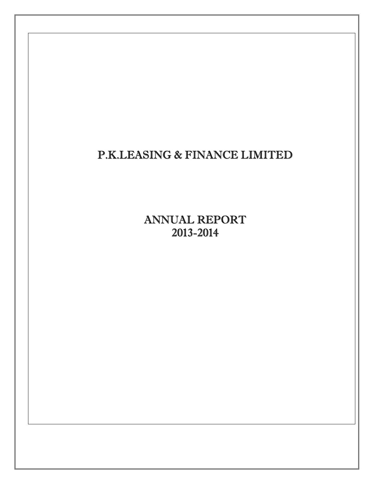# P.K.LEASING & FINANCE LIMITED

ANNUAL REPORT 2013-2014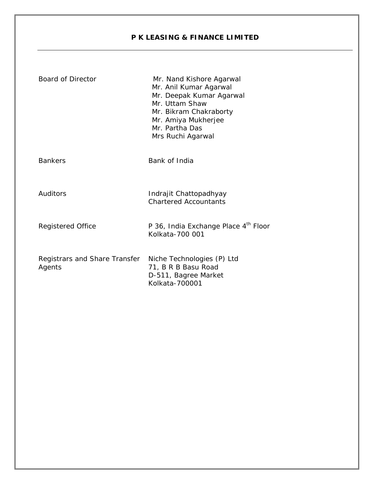#### **P K LEASING & FINANCE LIMITED**

| <b>Board of Director</b>                | Mr. Nand Kishore Agarwal<br>Mr. Anil Kumar Agarwal<br>Mr. Deepak Kumar Agarwal<br>Mr. Uttam Shaw<br>Mr. Bikram Chakraborty<br>Mr. Amiya Mukherjee<br>Mr. Partha Das<br>Mrs Ruchi Agarwal |
|-----------------------------------------|------------------------------------------------------------------------------------------------------------------------------------------------------------------------------------------|
| <b>Bankers</b>                          | Bank of India                                                                                                                                                                            |
| Auditors                                | Indrajit Chattopadhyay<br><b>Chartered Accountants</b>                                                                                                                                   |
| <b>Registered Office</b>                | P 36, India Exchange Place 4th Floor<br>Kolkata-700 001                                                                                                                                  |
| Registrars and Share Transfer<br>Agents | Niche Technologies (P) Ltd<br>71, B R B Basu Road<br>D-511, Bagree Market<br>Kolkata-700001                                                                                              |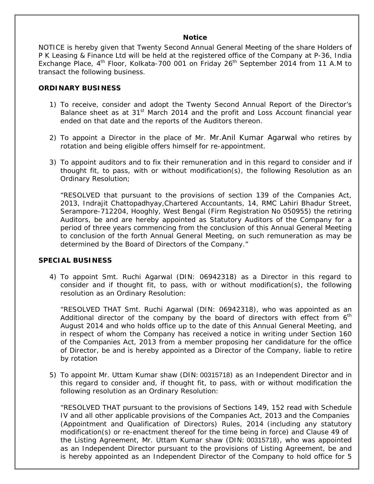#### **Notice**

NOTICE is hereby given that Twenty Second Annual General Meeting of the share Holders of P K Leasing & Finance Ltd will be held at the registered office of the Company at P-36, India Exchange Place,  $4<sup>th</sup>$  Floor, Kolkata-700 001 on Friday 26<sup>th</sup> September 2014 from 11 A.M to transact the following business.

#### **ORDINARY BUSINESS**

- 1) To receive, consider and adopt the Twenty Second Annual Report of the Director's Balance sheet as at 31<sup>st</sup> March 2014 and the profit and Loss Account financial year ended on that date and the reports of the Auditors thereon.
- 2) To appoint a Director in the place of Mr. Mr.Anil Kumar Agarwal who retires by rotation and being eligible offers himself for re-appointment.
- 3) To appoint auditors and to fix their remuneration and in this regard to consider and if thought fit, to pass, with or without modification(s), the following Resolution as an Ordinary Resolution;

"RESOLVED that pursuant to the provisions of section 139 of the Companies Act, 2013, Indrajit Chattopadhyay,Chartered Accountants, 14, RMC Lahiri Bhadur Street, Serampore-712204, Hooghly, West Bengal (Firm Registration No 050955) the retiring Auditors, be and are hereby appointed as Statutory Auditors of the Company for a period of three years commencing from the conclusion of this Annual General Meeting to conclusion of the forth Annual General Meeting, on such remuneration as may be determined by the Board of Directors of the Company."

#### **SPECIAL BUSINESS**

4) To appoint Smt. Ruchi Agarwal (DIN: 06942318) as a Director in this regard to consider and if thought fit, to pass, with or without modification(s), the following resolution as an Ordinary Resolution:

"RESOLVED THAT Smt. Ruchi Agarwal (DIN: 06942318), who was appointed as an Additional director of the company by the board of directors with effect from  $6<sup>th</sup>$ August 2014 and who holds office up to the date of this Annual General Meeting, and in respect of whom the Company has received a notice in writing under Section 160 of the Companies Act, 2013 from a member proposing her candidature for the office of Director, be and is hereby appointed as a Director of the Company, liable to retire by rotation

5) To appoint Mr. Uttam Kumar shaw (DIN: 00315718) as an Independent Director and in this regard to consider and, if thought fit, to pass, with or without modification the following resolution as an Ordinary Resolution:

"RESOLVED THAT pursuant to the provisions of Sections 149, 152 read with Schedule IV and all other applicable provisions of the Companies Act, 2013 and the Companies (Appointment and Qualification of Directors) Rules, 2014 (including any statutory modification(s) or re-enactment thereof for the time being in force) and Clause 49 of the Listing Agreement, Mr. Uttam Kumar shaw (DIN: 00315718), who was appointed as an Independent Director pursuant to the provisions of Listing Agreement, be and is hereby appointed as an Independent Director of the Company to hold office for 5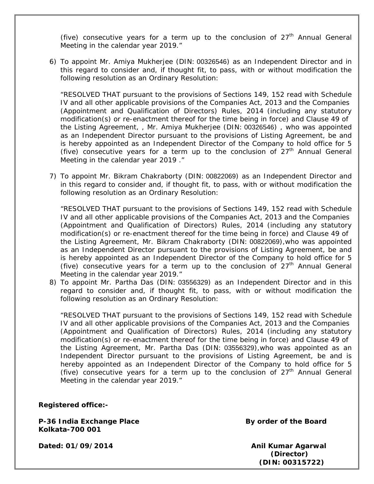(five) consecutive years for a term up to the conclusion of  $27<sup>th</sup>$  Annual General Meeting in the calendar year 2019."

6) To appoint Mr. Amiya Mukherjee (DIN: 00326546) as an Independent Director and in this regard to consider and, if thought fit, to pass, with or without modification the following resolution as an Ordinary Resolution:

"RESOLVED THAT pursuant to the provisions of Sections 149, 152 read with Schedule IV and all other applicable provisions of the Companies Act, 2013 and the Companies (Appointment and Qualification of Directors) Rules, 2014 (including any statutory modification(s) or re-enactment thereof for the time being in force) and Clause 49 of the Listing Agreement, , Mr. Amiya Mukherjee (DIN: 00326546) , who was appointed as an Independent Director pursuant to the provisions of Listing Agreement, be and is hereby appointed as an Independent Director of the Company to hold office for 5 (five) consecutive years for a term up to the conclusion of  $27<sup>th</sup>$  Annual General Meeting in the calendar year 2019 ."

7) To appoint Mr. Bikram Chakraborty (DIN: 00822069) as an Independent Director and in this regard to consider and, if thought fit, to pass, with or without modification the following resolution as an Ordinary Resolution:

"RESOLVED THAT pursuant to the provisions of Sections 149, 152 read with Schedule IV and all other applicable provisions of the Companies Act, 2013 and the Companies (Appointment and Qualification of Directors) Rules, 2014 (including any statutory modification(s) or re-enactment thereof for the time being in force) and Clause 49 of the Listing Agreement, Mr. Bikram Chakraborty (DIN: 00822069),who was appointed as an Independent Director pursuant to the provisions of Listing Agreement, be and is hereby appointed as an Independent Director of the Company to hold office for 5 (five) consecutive vears for a term up to the conclusion of  $27<sup>th</sup>$  Annual General Meeting in the calendar year 2019."

8) To appoint Mr. Partha Das (DIN: 03556329) as an Independent Director and in this regard to consider and, if thought fit, to pass, with or without modification the following resolution as an Ordinary Resolution:

"RESOLVED THAT pursuant to the provisions of Sections 149, 152 read with Schedule IV and all other applicable provisions of the Companies Act, 2013 and the Companies (Appointment and Qualification of Directors) Rules, 2014 (including any statutory modification(s) or re-enactment thereof for the time being in force) and Clause 49 of the Listing Agreement, Mr. Partha Das (DIN: 03556329),who was appointed as an Independent Director pursuant to the provisions of Listing Agreement, be and is hereby appointed as an Independent Director of the Company to hold office for 5 (five) consecutive years for a term up to the conclusion of  $27<sup>th</sup>$  Annual General Meeting in the calendar year 2019."

**Registered office:-** 

P-36 India Exchange Place **By order of the Board Kolkata-700 001** 

Dated: 01/09/2014 **Anil Kumar Agarwal** 

 **(Director) (DIN: 00315722)**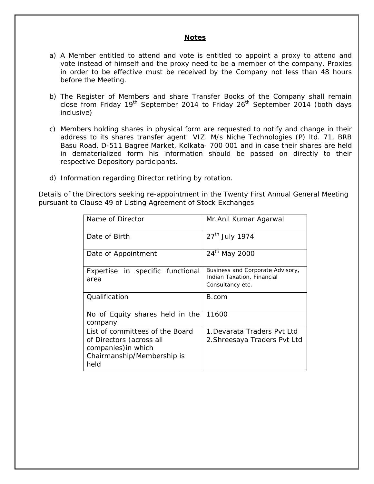#### **Notes**

- a) A Member entitled to attend and vote is entitled to appoint a proxy to attend and vote instead of himself and the proxy need to be a member of the company. Proxies in order to be effective must be received by the Company not less than 48 hours before the Meeting.
- b) The Register of Members and share Transfer Books of the Company shall remain close from Friday 19<sup>th</sup> September 2014 to Friday 26<sup>th</sup> September 2014 (both days inclusive)
- c) Members holding shares in physical form are requested to notify and change in their address to its shares transfer agent VIZ. M/s Niche Technologies (P) ltd. 71, BRB Basu Road, D-511 Bagree Market, Kolkata- 700 001 and in case their shares are held in dematerialized form his information should be passed on directly to their respective Depository participants.
- d) Information regarding Director retiring by rotation.

Details of the Directors seeking re-appointment in the Twenty First Annual General Meeting pursuant to Clause 49 of Listing Agreement of Stock Exchanges

| Name of Director                                                                                                         | Mr. Anil Kumar Agarwal                                                             |
|--------------------------------------------------------------------------------------------------------------------------|------------------------------------------------------------------------------------|
| Date of Birth                                                                                                            | 27 <sup>th</sup> July 1974                                                         |
| Date of Appointment                                                                                                      | 24 <sup>th</sup> May 2000                                                          |
| Expertise in specific functional<br>area                                                                                 | Business and Corporate Advisory,<br>Indian Taxation, Financial<br>Consultancy etc. |
| Qualification                                                                                                            | B.com                                                                              |
| No of Equity shares held in the<br>company                                                                               | 11600                                                                              |
| List of committees of the Board<br>of Directors (across all<br>companies) in which<br>Chairmanship/Membership is<br>held | 1. Devarata Traders Pyt I td<br>2. Shreesaya Traders Pvt Ltd                       |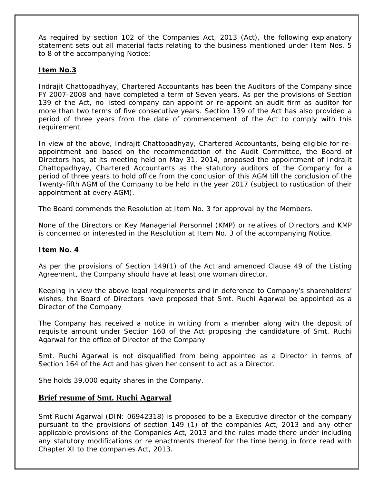As required by section 102 of the Companies Act, 2013 (Act), the following explanatory statement sets out all material facts relating to the business mentioned under Item Nos. 5 to 8 of the accompanying Notice:

#### **Item No.3**

Indrajit Chattopadhyay, Chartered Accountants has been the Auditors of the Company since FY 2007-2008 and have completed a term of Seven years. As per the provisions of Section 139 of the Act, no listed company can appoint or re-appoint an audit firm as auditor for more than two terms of five consecutive years. Section 139 of the Act has also provided a period of three years from the date of commencement of the Act to comply with this requirement.

In view of the above, Indrajit Chattopadhyay, Chartered Accountants, being eligible for reappointment and based on the recommendation of the Audit Committee, the Board of Directors has, at its meeting held on May 31, 2014, proposed the appointment of Indrajit Chattopadhyay, Chartered Accountants as the statutory auditors of the Company for a period of three years to hold office from the conclusion of this AGM till the conclusion of the Twenty-fifth AGM of the Company to be held in the year 2017 (subject to rustication of their appointment at every AGM).

The Board commends the Resolution at Item No. 3 for approval by the Members.

None of the Directors or Key Managerial Personnel (KMP) or relatives of Directors and KMP is concerned or interested in the Resolution at Item No. 3 of the accompanying Notice.

#### **Item No. 4**

As per the provisions of Section 149(1) of the Act and amended Clause 49 of the Listing Agreement, the Company should have at least one woman director.

Keeping in view the above legal requirements and in deference to Company's shareholders' wishes, the Board of Directors have proposed that Smt. Ruchi Agarwal be appointed as a Director of the Company

The Company has received a notice in writing from a member along with the deposit of requisite amount under Section 160 of the Act proposing the candidature of Smt. Ruchi Agarwal for the office of Director of the Company

Smt. Ruchi Agarwal is not disqualified from being appointed as a Director in terms of Section 164 of the Act and has given her consent to act as a Director.

She holds 39,000 equity shares in the Company.

#### **Brief resume of Smt. Ruchi Agarwal**

Smt Ruchi Agarwal (DIN: 06942318) is proposed to be a Executive director of the company pursuant to the provisions of section 149 (1) of the companies Act, 2013 and any other applicable provisions of the Companies Act, 2013 and the rules made there under including any statutory modifications or re enactments thereof for the time being in force read with Chapter XI to the companies Act, 2013.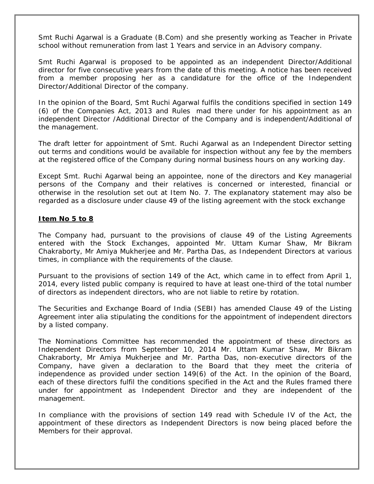Smt Ruchi Agarwal is a Graduate (B.Com) and she presently working as Teacher in Private school without remuneration from last 1 Years and service in an Advisory company.

Smt Ruchi Agarwal is proposed to be appointed as an independent Director/Additional director for five consecutive years from the date of this meeting. A notice has been received from a member proposing her as a candidature for the office of the Independent Director/Additional Director of the company.

In the opinion of the Board, Smt Ruchi Agarwal fulfils the conditions specified in section 149 (6) of the Companies Act, 2013 and Rules mad there under for his appointment as an independent Director /Additional Director of the Company and is independent/Additional of the management.

The draft letter for appointment of Smt. Ruchi Agarwal as an Independent Director setting out terms and conditions would be available for inspection without any fee by the members at the registered office of the Company during normal business hours on any working day.

Except Smt. Ruchi Agarwal being an appointee, none of the directors and Key managerial persons of the Company and their relatives is concerned or interested, financial or otherwise in the resolution set out at Item No. 7. The explanatory statement may also be regarded as a disclosure under clause 49 of the listing agreement with the stock exchange

#### **Item No 5 to 8**

The Company had, pursuant to the provisions of clause 49 of the Listing Agreements entered with the Stock Exchanges, appointed Mr. Uttam Kumar Shaw, Mr Bikram Chakraborty, Mr Amiya Mukherjee and Mr. Partha Das, as Independent Directors at various times, in compliance with the requirements of the clause.

Pursuant to the provisions of section 149 of the Act, which came in to effect from April 1, 2014, every listed public company is required to have at least one-third of the total number of directors as independent directors, who are not liable to retire by rotation.

The Securities and Exchange Board of India (SEBI) has amended Clause 49 of the Listing Agreement *inter alia* stipulating the conditions for the appointment of independent directors by a listed company.

The Nominations Committee has recommended the appointment of these directors as Independent Directors from September 10, 2014 Mr. Uttam Kumar Shaw, Mr Bikram Chakraborty, Mr Amiya Mukherjee and Mr. Partha Das, non-executive directors of the Company, have given a declaration to the Board that they meet the criteria of independence as provided under section 149(6) of the Act. In the opinion of the Board, each of these directors fulfil the conditions specified in the Act and the Rules framed there under for appointment as Independent Director and they are independent of the management.

In compliance with the provisions of section 149 read with Schedule IV of the Act, the appointment of these directors as Independent Directors is now being placed before the Members for their approval.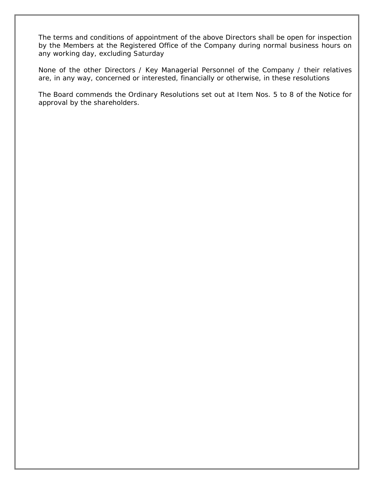The terms and conditions of appointment of the above Directors shall be open for inspection by the Members at the Registered Office of the Company during normal business hours on any working day, excluding Saturday

None of the other Directors / Key Managerial Personnel of the Company / their relatives are, in any way, concerned or interested, financially or otherwise, in these resolutions

The Board commends the Ordinary Resolutions set out at Item Nos. 5 to 8 of the Notice for approval by the shareholders.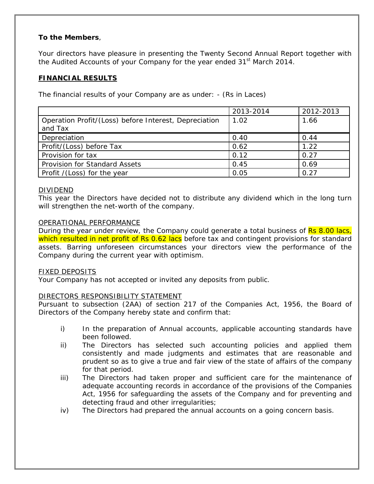#### **To the Members**,

Your directors have pleasure in presenting the Twenty Second Annual Report together with the Audited Accounts of your Company for the year ended 31<sup>st</sup> March 2014.

#### **FINANCIAL RESULTS**

The financial results of your Company are as under: - (Rs in Laces)

|                                                       | 2013-2014 | 2012-2013 |
|-------------------------------------------------------|-----------|-----------|
| Operation Profit/(Loss) before Interest, Depreciation | 1.02      | 1.66      |
| and Tax                                               |           |           |
| Depreciation                                          | 0.40      | 0.44      |
| Profit/(Loss) before Tax                              | 0.62      | 1.22      |
| Provision for tax                                     | 0.12      | 0.27      |
| <b>Provision for Standard Assets</b>                  | 0.45      | 0.69      |
| Profit /(Loss) for the year                           | 0.05      | 0.27      |

#### DIVIDEND

This year the Directors have decided not to distribute any dividend which in the long turn will strengthen the net-worth of the company.

#### OPERATIONAL PERFORMANCE

During the year under review, the Company could generate a total business of Rs 8.00 lacs, which resulted in net profit of Rs 0.62 lacs before tax and contingent provisions for standard assets. Barring unforeseen circumstances your directors view the performance of the Company during the current year with optimism.

#### FIXED DEPOSITS

Your Company has not accepted or invited any deposits from public.

#### DIRECTORS RESPONSIBILITY STATEMENT

Pursuant to subsection (2AA) of section 217 of the Companies Act, 1956, the Board of Directors of the Company hereby state and confirm that:

- i) In the preparation of Annual accounts, applicable accounting standards have been followed.
- ii) The Directors has selected such accounting policies and applied them consistently and made judgments and estimates that are reasonable and prudent so as to give a true and fair view of the state of affairs of the company for that period.
- iii) The Directors had taken proper and sufficient care for the maintenance of adequate accounting records in accordance of the provisions of the Companies Act, 1956 for safeguarding the assets of the Company and for preventing and detecting fraud and other irregularities;
- iv) The Directors had prepared the annual accounts on a going concern basis.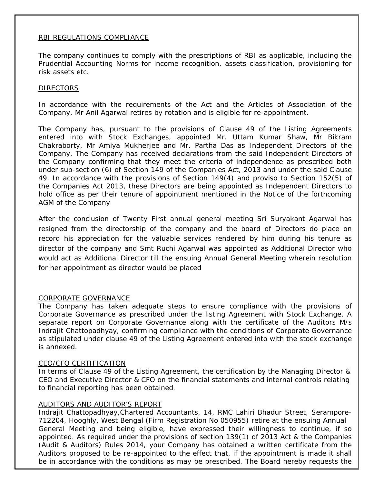#### RBI REGULATIONS COMPLIANCE

The company continues to comply with the prescriptions of RBI as applicable, including the Prudential Accounting Norms for income recognition, assets classification, provisioning for risk assets etc.

#### DIRECTORS

In accordance with the requirements of the Act and the Articles of Association of the Company, Mr Anil Agarwal retires by rotation and is eligible for re-appointment.

The Company has, pursuant to the provisions of Clause 49 of the Listing Agreements entered into with Stock Exchanges, appointed Mr. Uttam Kumar Shaw, Mr Bikram Chakraborty, Mr Amiya Mukherjee and Mr. Partha Das as Independent Directors of the Company. The Company has received declarations from the said Independent Directors of the Company confirming that they meet the criteria of independence as prescribed both under sub-section (6) of Section 149 of the Companies Act, 2013 and under the said Clause 49. In accordance with the provisions of Section 149(4) and proviso to Section 152(5) of the Companies Act 2013, these Directors are being appointed as Independent Directors to hold office as per their tenure of appointment mentioned in the Notice of the forthcoming AGM of the Company

After the conclusion of Twenty First annual general meeting Sri Suryakant Agarwal has resigned from the directorship of the company and the board of Directors do place on record his appreciation for the valuable services rendered by him during his tenure as director of the company and Smt Ruchi Agarwal was appointed as Additional Director who would act as Additional Director till the ensuing Annual General Meeting wherein resolution for her appointment as director would be placed

#### CORPORATE GOVERNANCE

The Company has taken adequate steps to ensure compliance with the provisions of Corporate Governance as prescribed under the listing Agreement with Stock Exchange. A separate report on Corporate Governance along with the certificate of the Auditors M/s Indrajit Chattopadhyay, confirming compliance with the conditions of Corporate Governance as stipulated under clause 49 of the Listing Agreement entered into with the stock exchange is annexed.

#### CEO/CFO CERTIFICATION

In terms of Clause 49 of the Listing Agreement, the certification by the Managing Director & CEO and Executive Director & CFO on the financial statements and internal controls relating to financial reporting has been obtained.

#### AUDITORS AND AUDITOR'S REPORT

Indrajit Chattopadhyay,Chartered Accountants, 14, RMC Lahiri Bhadur Street, Serampore-712204, Hooghly, West Bengal (Firm Registration No 050955) retire at the ensuing Annual General Meeting and being eligible, have expressed their willingness to continue, if so appointed. As required under the provisions of section 139(1) of 2013 Act & the Companies (Audit & Auditors) Rules 2014, your Company has obtained a written certificate from the Auditors proposed to be re-appointed to the effect that, if the appointment is made it shall be in accordance with the conditions as may be prescribed. The Board hereby requests the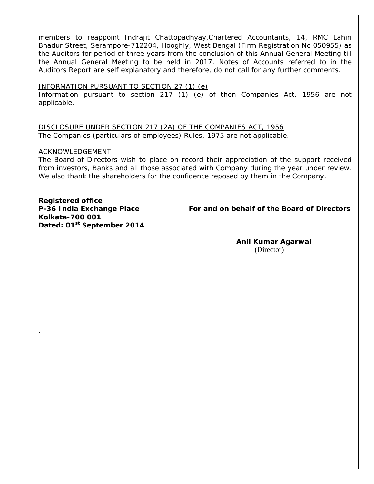members to reappoint Indrajit Chattopadhyay,Chartered Accountants, 14, RMC Lahiri Bhadur Street, Serampore-712204, Hooghly, West Bengal (Firm Registration No 050955) as the Auditors for period of three years from the conclusion of this Annual General Meeting till the Annual General Meeting to be held in 2017. Notes of Accounts referred to in the Auditors Report are self explanatory and therefore, do not call for any further comments.

#### INFORMATION PURSUANT TO SECTION 27 (1) (e)

Information pursuant to section 217 (1) (e) of then Companies Act, 1956 are not applicable.

DISCLOSURE UNDER SECTION 217 (2A) OF THE COMPANIES ACT, 1956 The Companies (particulars of employees) Rules, 1975 are not applicable.

#### ACKNOWLEDGEMENT

.

The Board of Directors wish to place on record their appreciation of the support received from investors, Banks and all those associated with Company during the year under review. We also thank the shareholders for the confidence reposed by them in the Company.

**Registered office Kolkata-700 001 Dated: 01st September 2014** 

**P-36 India Exchange Place For and on behalf of the Board of Directors** 

**Anil Kumar Agarwal**  (Director)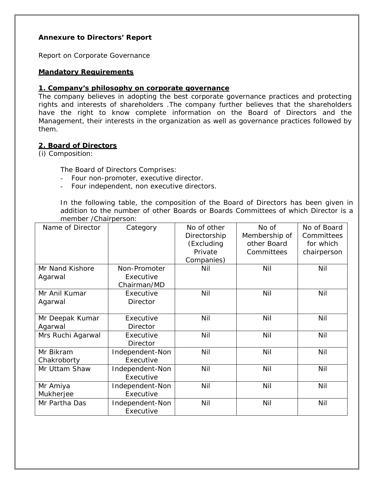#### **Annexure to Directors' Report**

Report on Corporate Governance

#### **Mandatory Requirements**

#### **1. Company's philosophy on corporate governance**

The company believes in adopting the best corporate governance practices and protecting rights and interests of shareholders .The company further believes that the shareholders have the right to know complete information on the Board of Directors and the Management, their interests in the organization as well as governance practices followed by them.

#### **2. Board of Directors**

(i) Composition:

The Board of Directors Comprises:

- Four non-promoter, executive director.
- Four independent, non executive directors.

In the following table, the composition of the Board of Directors has been given in addition to the number of other Boards or Boards Committees of which Director is a member /Chairperson:

| Name of Director  | Category        | No of other  | No of         | No of Board |
|-------------------|-----------------|--------------|---------------|-------------|
|                   |                 | Directorship | Membership of | Committees  |
|                   |                 | (Excluding   | other Board   | for which   |
|                   |                 | Private      | Committees    | chairperson |
|                   |                 | Companies)   |               |             |
| Mr Nand Kishore   | Non-Promoter    | Nil          | Nil           | Nil         |
| Agarwal           | Executive       |              |               |             |
|                   | Chairman/MD     |              |               |             |
| Mr Anil Kumar     | Executive       | Nil          | Nil           | Nil         |
| Agarwal           | Director        |              |               |             |
|                   |                 |              |               |             |
| Mr Deepak Kumar   | Executive       | Nil          | Nil           | Nil         |
| Agarwal           | <b>Director</b> |              |               |             |
| Mrs Ruchi Agarwal | Executive       | Nil          | Nil           | Nil         |
|                   | <b>Director</b> |              |               |             |
| Mr Bikram         | Independent-Non | Nil          | Nil           | Nil         |
| Chakroborty       | Executive       |              |               |             |
| Mr Uttam Shaw     | Independent-Non | Nil          | Nil           | Nil         |
|                   | Executive       |              |               |             |
| Mr Amiya          | Independent-Non | Nil          | Nil           | Nil         |
| Mukherjee         | Executive       |              |               |             |
| Mr Partha Das     | Independent-Non | Nil          | Nil           | Nil         |
|                   | Executive       |              |               |             |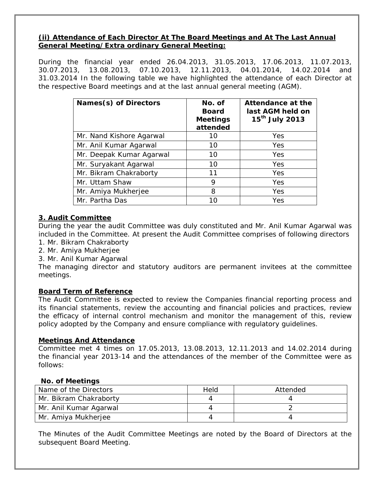#### **(ii) Attendance of Each Director At The Board Meetings and At The Last Annual General Meeting/Extra ordinary General Meeting:**

During the financial year ended 26.04.2013, 31.05.2013, 17.06.2013, 11.07.2013, 30.07.2013, 13.08.2013, 07.10.2013, 12.11.2013, 04.01.2014, 14.02.2014 and 31.03.2014 In the following table we have highlighted the attendance of each Director at the respective Board meetings and at the last annual general meeting (AGM).

| Names(s) of Directors    | No. of<br><b>Board</b><br><b>Meetings</b><br>attended | Attendance at the<br>last AGM held on<br>15 <sup>th</sup> July 2013 |
|--------------------------|-------------------------------------------------------|---------------------------------------------------------------------|
| Mr. Nand Kishore Agarwal | 10                                                    | Yes                                                                 |
| Mr. Anil Kumar Agarwal   | 10                                                    | Yes                                                                 |
| Mr. Deepak Kumar Agarwal | 10                                                    | Yes                                                                 |
| Mr. Suryakant Agarwal    | 10                                                    | Yes                                                                 |
| Mr. Bikram Chakraborty   | 11                                                    | Yes                                                                 |
| Mr. Uttam Shaw           | 9                                                     | Yes                                                                 |
| Mr. Amiya Mukherjee      | 8                                                     | Yes                                                                 |
| Mr. Partha Das           | 10                                                    | Yes                                                                 |

#### **3. Audit Committee**

During the year the audit Committee was duly constituted and Mr. Anil Kumar Agarwal was included in the Committee. At present the Audit Committee comprises of following directors

- 1. Mr. Bikram Chakraborty
- 2. Mr. Amiya Mukherjee
- 3. Mr. Anil Kumar Agarwal

The managing director and statutory auditors are permanent invitees at the committee meetings.

#### **Board Term of Reference**

The Audit Committee is expected to review the Companies financial reporting process and its financial statements, review the accounting and financial policies and practices, review the efficacy of internal control mechanism and monitor the management of this, review policy adopted by the Company and ensure compliance with regulatory guidelines.

#### **Meetings And Attendance**

Committee met 4 times on 17.05.2013, 13.08.2013, 12.11.2013 and 14.02.2014 during the financial year 2013-14 and the attendances of the member of the Committee were as follows:

#### **No. of Meetings**

| Name of the Directors  | Held | Attended |
|------------------------|------|----------|
| Mr. Bikram Chakraborty |      |          |
| Mr. Anil Kumar Agarwal |      |          |
| Mr. Amiya Mukherjee    |      |          |

The Minutes of the Audit Committee Meetings are noted by the Board of Directors at the subsequent Board Meeting.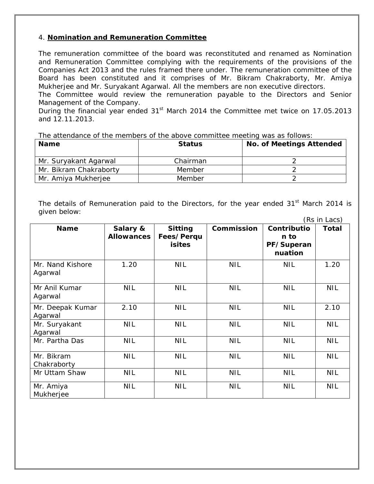#### 4. **Nomination and Remuneration Committee**

The remuneration committee of the board was reconstituted and renamed as Nomination and Remuneration Committee complying with the requirements of the provisions of the Companies Act 2013 and the rules framed there under. The remuneration committee of the Board has been constituted and it comprises of Mr. Bikram Chakraborty, Mr. Amiya Mukherjee and Mr. Suryakant Agarwal. All the members are non executive directors.

The Committee would review the remuneration payable to the Directors and Senior Management of the Company.

During the financial year ended 31<sup>st</sup> March 2014 the Committee met twice on 17.05.2013 and 12.11.2013.

The attendance of the members of the above committee meeting was as follows:

| <b>Name</b>            | <b>Status</b> | <b>No. of Meetings Attended</b> |
|------------------------|---------------|---------------------------------|
| Mr. Suryakant Agarwal  | Chairman      |                                 |
| Mr. Bikram Chakraborty | Member        |                                 |
| Mr. Amiya Mukherjee    | Member        |                                 |

The details of Remuneration paid to the Directors, for the year ended  $31<sup>st</sup>$  March 2014 is given below:

|                             |                               |                                               |            |                                              | (Rs in Lacs) |
|-----------------------------|-------------------------------|-----------------------------------------------|------------|----------------------------------------------|--------------|
| <b>Name</b>                 | Salary &<br><b>Allowances</b> | <b>Sitting</b><br>Fees/Perqu<br><b>isites</b> | Commission | Contributio<br>n to<br>PF/Superan<br>nuation | Total        |
| Mr. Nand Kishore<br>Agarwal | 1.20                          | <b>NIL</b>                                    | <b>NIL</b> | <b>NIL</b>                                   | 1.20         |
| Mr Anil Kumar<br>Agarwal    | <b>NIL</b>                    | <b>NIL</b>                                    | <b>NIL</b> | <b>NIL</b>                                   | <b>NIL</b>   |
| Mr. Deepak Kumar<br>Agarwal | 2.10                          | <b>NIL</b>                                    | <b>NIL</b> | <b>NIL</b>                                   | 2.10         |
| Mr. Suryakant<br>Agarwal    | <b>NIL</b>                    | <b>NIL</b>                                    | <b>NIL</b> | <b>NIL</b>                                   | <b>NIL</b>   |
| Mr. Partha Das              | <b>NIL</b>                    | <b>NIL</b>                                    | <b>NIL</b> | <b>NIL</b>                                   | <b>NIL</b>   |
| Mr. Bikram<br>Chakraborty   | <b>NIL</b>                    | <b>NIL</b>                                    | <b>NIL</b> | <b>NIL</b>                                   | <b>NIL</b>   |
| Mr Uttam Shaw               | <b>NIL</b>                    | <b>NIL</b>                                    | <b>NIL</b> | <b>NIL</b>                                   | <b>NIL</b>   |
| Mr. Amiya<br>Mukherjee      | <b>NIL</b>                    | <b>NIL</b>                                    | <b>NIL</b> | <b>NIL</b>                                   | <b>NIL</b>   |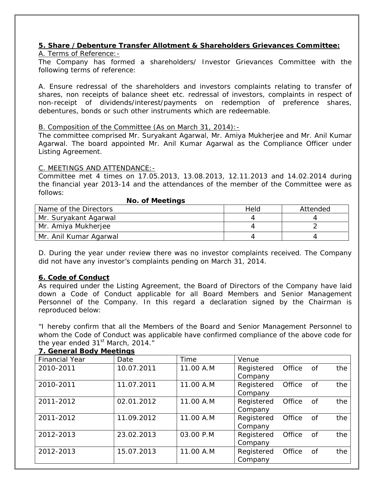### **5. Share /Debenture Transfer Allotment & Shareholders Grievances Committee:**

#### A. Terms of Reference:-

The Company has formed a shareholders/ Investor Grievances Committee with the following terms of reference:

A. Ensure redressal of the shareholders and investors complaints relating to transfer of shares, non receipts of balance sheet etc. redressal of investors, complaints in respect of non-receipt of dividends/interest/payments on redemption of preference shares, debentures, bonds or such other instruments which are redeemable.

#### B. Composition of the Committee (As on March 31, 2014):-

**No. of Meetings** 

The committee comprised Mr. Suryakant Agarwal, Mr. Amiya Mukherjee and Mr. Anil Kumar Agarwal. The board appointed Mr. Anil Kumar Agarwal as the Compliance Officer under Listing Agreement.

#### C. MEETINGS AND ATTENDANCE:-

Committee met 4 times on 17.05.2013, 13.08.2013, 12.11.2013 and 14.02.2014 during the financial year 2013-14 and the attendances of the member of the Committee were as follows:

| <b>NO. OF IVICCITIUS</b> |      |          |  |  |
|--------------------------|------|----------|--|--|
| Name of the Directors    | Held | Attended |  |  |
| Mr. Suryakant Agarwal    |      |          |  |  |
| Mr. Amiya Mukherjee      |      |          |  |  |
| Mr. Anil Kumar Agarwal   |      |          |  |  |

D. During the year under review there was no investor complaints received. The Company did not have any investor's complaints pending on March 31, 2014.

#### **6. Code of Conduct**

As required under the Listing Agreement, the Board of Directors of the Company have laid down a Code of Conduct applicable for all Board Members and Senior Management Personnel of the Company. In this regard a declaration signed by the Chairman is reproduced below:

"I hereby confirm that all the Members of the Board and Senior Management Personnel to whom the Code of Conduct was applicable have confirmed compliance of the above code for the year ended  $31<sup>st</sup>$  March, 2014."

| <b>Financial Year</b> | Date       | Time      | Venue                 |        |    |     |
|-----------------------|------------|-----------|-----------------------|--------|----|-----|
| 2010-2011             | 10.07.2011 | 11.00 A.M | Registered<br>Company | Office | of | the |
| 2010-2011             | 11.07.2011 | 11.00 A.M | Registered<br>Company | Office | of | the |
| 2011-2012             | 02.01.2012 | 11.00 A.M | Registered<br>Company | Office | of | the |
| 2011-2012             | 11.09.2012 | 11.00 A.M | Registered<br>Company | Office | of | the |
| 2012-2013             | 23.02.2013 | 03.00 P.M | Registered<br>Company | Office | 0f | the |
| 2012-2013             | 15.07.2013 | 11.00 A.M | Registered<br>Company | Office | 0f | the |

### **7. General Body Meetings**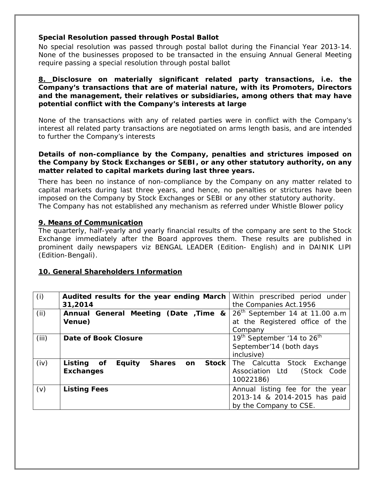#### **Special Resolution passed through Postal Ballot**

No special resolution was passed through postal ballot during the Financial Year 2013-14. None of the businesses proposed to be transacted in the ensuing Annual General Meeting require passing a special resolution through postal ballot

#### **8. Disclosure on materially significant related party transactions, i.e. the Company's transactions that are of material nature, with its Promoters, Directors and the management, their relatives or subsidiaries, among others that may have potential conflict with the Company's interests at large**

None of the transactions with any of related parties were in conflict with the Company's interest all related party transactions are negotiated on arms length basis, and are intended to further the Company's interests

#### **Details of non-compliance by the Company, penalties and strictures imposed on the Company by Stock Exchanges or SEBI, or any other statutory authority, on any matter related to capital markets during last three years.**

There has been no instance of non-compliance by the Company on any matter related to capital markets during last three years, and hence, no penalties or strictures have been imposed on the Company by Stock Exchanges or SEBI or any other statutory authority. The Company has not established any mechanism as referred under Whistle Blower policy

#### **9. Means of Communication**

The quarterly, half-yearly and yearly financial results of the company are sent to the Stock Exchange immediately after the Board approves them. These results are published in prominent daily newspapers viz BENGAL LEADER (Edition- English) and in DAINIK LIPI (Edition-Bengali).

#### **10. General Shareholders Information**

| (i)   | Audited results for the year ending March<br>31,2014                                   | Within prescribed period under<br>the Companies Act. 1956                                   |
|-------|----------------------------------------------------------------------------------------|---------------------------------------------------------------------------------------------|
| (ii)  | Annual General Meeting (Date Time &<br>Venue)                                          | 26 <sup>th</sup> September 14 at 11.00 a.m<br>at the Registered office of the<br>Company    |
| (iii) | Date of Book Closure                                                                   | 19 <sup>th</sup> September '14 to 26 <sup>th</sup><br>September'14 (both days<br>inclusive) |
| (iv)  | <b>Stock</b><br>Listing of<br><b>Equity</b><br><b>Shares</b><br>on<br><b>Exchanges</b> | The Calcutta Stock Exchange<br>(Stock Code<br>Association Ltd<br>10022186)                  |
| (v)   | <b>Listing Fees</b>                                                                    | Annual listing fee for the year<br>2013-14 & 2014-2015 has paid<br>by the Company to CSE.   |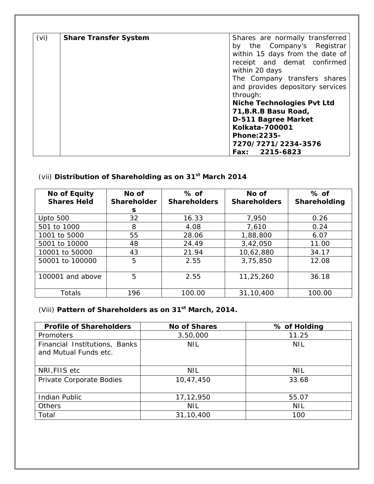| (vi) | <b>Share Transfer System</b> | Shares are normally transferred<br>by the Company's Registrar |  |
|------|------------------------------|---------------------------------------------------------------|--|
|      |                              | within 15 days from the date of                               |  |
|      |                              | receipt and demat confirmed                                   |  |
|      |                              | within 20 days                                                |  |
|      |                              | The Company transfers shares                                  |  |
|      |                              | and provides depository services                              |  |
|      |                              | through:                                                      |  |
|      |                              | <b>Niche Technologies Pvt Ltd</b>                             |  |
|      |                              | 71, B.R.B Basu Road,                                          |  |
|      |                              | D-511 Bagree Market                                           |  |
|      |                              | <b>Kolkata-700001</b>                                         |  |
|      |                              | <b>Phone: 2235-</b>                                           |  |
|      |                              | 7270/7271/2234-3576                                           |  |
|      |                              | Fax: 2215-6823                                                |  |

# (vii) **Distribution of Shareholding as on 31st March 2014**

| <b>No of Equity</b><br><b>Shares Held</b> | No of<br><b>Shareholder</b> | $%$ of<br>No of<br><b>Shareholders</b><br><b>Shareholders</b> |           | $%$ of<br>Shareholding |
|-------------------------------------------|-----------------------------|---------------------------------------------------------------|-----------|------------------------|
|                                           | S                           |                                                               |           |                        |
| <b>Upto 500</b>                           | 32                          | 16.33                                                         | 7,950     | 0.26                   |
| 501 to 1000                               | 8                           | 4.08                                                          | 7,610     | 0.24                   |
| 1001 to 5000                              | 55                          | 28.06                                                         | 1,88,800  | 6.07                   |
| 5001 to 10000                             | 48                          | 24.49                                                         | 3,42,050  | 11.00                  |
| 10001 to 50000                            | 43                          | 21.94                                                         | 10,62,880 | 34.17                  |
| 50001 to 100000                           | 5                           | 2.55                                                          | 3,75,850  | 12.08                  |
| 100001 and above                          | 5                           | 2.55                                                          | 11,25,260 | 36.18                  |
| Totals                                    | 196                         | 100.00                                                        | 31,10,400 | 100.00                 |

### (Viii) **Pattern of Shareholders as on 31st March, 2014.**

| <b>Profile of Shareholders</b>                         | <b>No of Shares</b> | % of Holding |
|--------------------------------------------------------|---------------------|--------------|
| Promoters                                              | 3,50,000            | 11.25        |
| Financial Institutions, Banks<br>and Mutual Funds etc. | <b>NIL</b>          | <b>NIL</b>   |
| NRI, FIIS etc                                          | <b>NIL</b>          | <b>NIL</b>   |
| Private Corporate Bodies                               | 10,47,450           | 33.68        |
| <b>Indian Public</b>                                   | 17,12,950           | 55.07        |
| <b>Others</b>                                          | <b>NIL</b>          | <b>NIL</b>   |
| Total                                                  | 31,10,400           | 100          |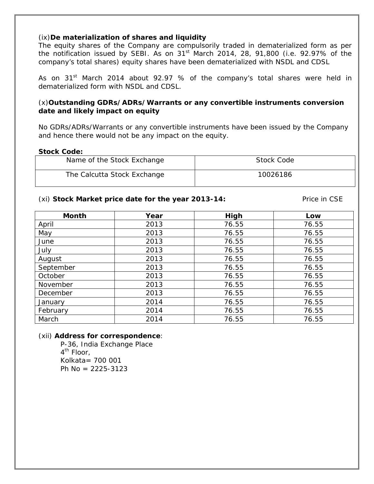#### (ix)**De materialization of shares and liquidity**

The equity shares of the Company are compulsorily traded in dematerialized form as per the notification issued by SEBI. As on  $31<sup>st</sup>$  March 2014, 28, 91,800 (i.e. 92.97% of the company's total shares) equity shares have been dematerialized with NSDL and CDSL

As on 31<sup>st</sup> March 2014 about 92.97 % of the company's total shares were held in dematerialized form with NSDL and CDSL.

#### (x)**Outstanding GDRs/ADRs/Warrants or any convertible instruments conversion date and likely impact on equity**

No GDRs/ADRs/Warrants or any convertible instruments have been issued by the Company and hence there would not be any impact on the equity.

#### **Stock Code:**

| Name of the Stock Exchange  | Stock Code |
|-----------------------------|------------|
| The Calcutta Stock Exchange | 10026186   |

#### (xi) **Stock Market price date for the year 2013-14:** Price in CSE

| <b>Month</b> | Year | High  | Low   |
|--------------|------|-------|-------|
| April        | 2013 | 76.55 | 76.55 |
| May          | 2013 | 76.55 | 76.55 |
| June         | 2013 | 76.55 | 76.55 |
| July         | 2013 | 76.55 | 76.55 |
| August       | 2013 | 76.55 | 76.55 |
| September    | 2013 | 76.55 | 76.55 |
| October      | 2013 | 76.55 | 76.55 |
| November     | 2013 | 76.55 | 76.55 |
| December     | 2013 | 76.55 | 76.55 |
| January      | 2014 | 76.55 | 76.55 |
| February     | 2014 | 76.55 | 76.55 |
| March        | 2014 | 76.55 | 76.55 |

#### (xii) **Address for correspondence**:

 P-36, India Exchange Place 4<sup>th</sup> Floor, Kolkata= 700 001 Ph No = 2225-3123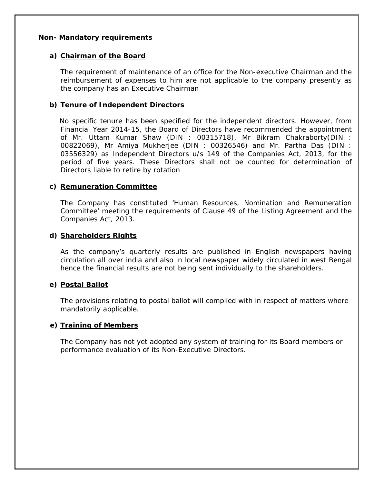#### **Non- Mandatory requirements**

#### **a) Chairman of the Board**

The requirement of maintenance of an office for the Non-executive Chairman and the reimbursement of expenses to him are not applicable to the company presently as the company has an Executive Chairman

#### **b) Tenure of Independent Directors**

 No specific tenure has been specified for the independent directors. However, from Financial Year 2014-15, the Board of Directors have recommended the appointment of Mr. Uttam Kumar Shaw (DIN : 00315718), Mr Bikram Chakraborty(DIN : 00822069), Mr Amiya Mukherjee (DIN : 00326546) and Mr. Partha Das (DIN : 03556329) as Independent Directors u/s 149 of the Companies Act, 2013, for the period of five years. These Directors shall not be counted for determination of Directors liable to retire by rotation

#### **c) Remuneration Committee**

The Company has constituted 'Human Resources, Nomination and Remuneration Committee' meeting the requirements of Clause 49 of the Listing Agreement and the Companies Act, 2013.

#### **d) Shareholders Rights**

As the company's quarterly results are published in English newspapers having circulation all over india and also in local newspaper widely circulated in west Bengal hence the financial results are not being sent individually to the shareholders.

#### **e) Postal Ballot**

The provisions relating to postal ballot will complied with in respect of matters where mandatorily applicable.

#### **e) Training of Members**

The Company has not yet adopted any system of training for its Board members or performance evaluation of its Non-Executive Directors.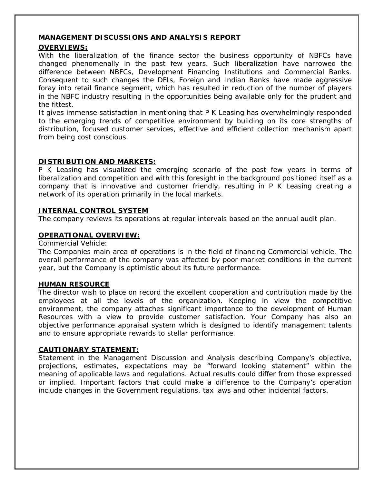#### **MANAGEMENT DISCUSSIONS AND ANALYSIS REPORT**

#### **OVERVIEWS:**

With the liberalization of the finance sector the business opportunity of NBFCs have changed phenomenally in the past few years. Such liberalization have narrowed the difference between NBFCs, Development Financing Institutions and Commercial Banks. Consequent to such changes the DFIs, Foreign and Indian Banks have made aggressive foray into retail finance segment, which has resulted in reduction of the number of players in the NBFC industry resulting in the opportunities being available only for the prudent and the fittest.

It gives immense satisfaction in mentioning that P K Leasing has overwhelmingly responded to the emerging trends of competitive environment by building on its core strengths of distribution, focused customer services, effective and efficient collection mechanism apart from being cost conscious.

#### **DISTRIBUTION AND MARKETS:**

P K Leasing has visualized the emerging scenario of the past few years in terms of liberalization and competition and with this foresight in the background positioned itself as a company that is innovative and customer friendly, resulting in P K Leasing creating a network of its operation primarily in the local markets.

#### **INTERNAL CONTROL SYSTEM**

The company reviews its operations at regular intervals based on the annual audit plan.

#### **OPERATIONAL OVERVIEW:**

Commercial Vehicle:

The Companies main area of operations is in the field of financing Commercial vehicle. The overall performance of the company was affected by poor market conditions in the current year, but the Company is optimistic about its future performance.

#### **HUMAN RESOURCE**

The director wish to place on record the excellent cooperation and contribution made by the employees at all the levels of the organization. Keeping in view the competitive environment, the company attaches significant importance to the development of Human Resources with a view to provide customer satisfaction. Your Company has also an objective performance appraisal system which is designed to identify management talents and to ensure appropriate rewards to stellar performance.

#### **CAUTIONARY STATEMENT:**

Statement in the Management Discussion and Analysis describing Company's objective, projections, estimates, expectations may be "forward looking statement" within the meaning of applicable laws and regulations. Actual results could differ from those expressed or implied. Important factors that could make a difference to the Company's operation include changes in the Government regulations, tax laws and other incidental factors.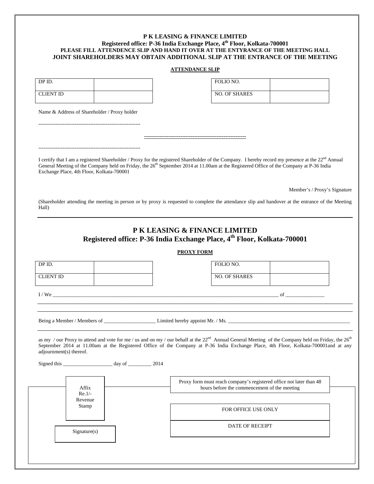#### **P K LEASING & FINANCE LIMITED Registered office: P-36 India Exchange Place, 4th Floor, Kolkata-700001 PLEASE FILL ATTENDENCE SLIP AND HAND IT OVER AT THE ENTYRANCE OF THE MEETING HALL JOINT SHAREHOLDERS MAY OBTAIN ADDITIONAL SLIP AT THE ENTRANCE OF THE MEETING**

#### **ATTENDANCE SLIP**

| DP ID.           |  | FOLIO NO.            |
|------------------|--|----------------------|
| <b>CLIENT ID</b> |  | <b>NO. OF SHARES</b> |

| FOLIO NO.            |  |
|----------------------|--|
| <b>NO. OF SHARES</b> |  |

Name & Address of Shareholder / Proxy holder

-----------------------------------------------------------

-----------------------------------------------------------

I certify that I am a registered Shareholder / Proxy for the registered Shareholder of the Company. I hereby record my presence at the 22nd Annual General Meeting of the Company held on Friday, the 26<sup>th</sup> September 2014 at 11.00am at the Registered Office of the Company at P-36 India Exchange Place, 4th Floor, Kolkata-700001

**-----------------------------------------------------------**

Member's / Proxy's Signature

(Shareholder attending the meeting in person or by proxy is requested to complete the attendance slip and handover at the entrance of the Meeting Hall)

#### **P K LEASING & FINANCE LIMITED Registered office: P-36 India Exchange Place, 4th Floor, Kolkata-700001**

**PROXY FORM**

| DP ID.                  |                   | FOLIO NO.                                                                                                                                                                                                                                                                                                         |  |
|-------------------------|-------------------|-------------------------------------------------------------------------------------------------------------------------------------------------------------------------------------------------------------------------------------------------------------------------------------------------------------------|--|
| <b>CLIENT ID</b>        |                   | <b>NO. OF SHARES</b>                                                                                                                                                                                                                                                                                              |  |
|                         |                   | $I/We$ of                                                                                                                                                                                                                                                                                                         |  |
|                         |                   |                                                                                                                                                                                                                                                                                                                   |  |
| adjournment(s) thereof. |                   | as my / our Proxy to attend and vote for me / us and on my / our behalf at the 22 <sup>nd</sup> Annual General Meeting of the Company held on Friday, the 26 <sup>th</sup><br>September 2014 at 11.00am at the Registered Office of the Company at P-36 India Exchange Place, 4th Floor, Kolkata-700001and at any |  |
|                         | Affix<br>$Re.1/-$ | Proxy form must reach company's registered office not later than 48<br>hours before the commencement of the meeting                                                                                                                                                                                               |  |
|                         | Revenue<br>Stamp  | FOR OFFICE USE ONLY                                                                                                                                                                                                                                                                                               |  |
|                         | Signature(s)      | DATE OF RECEIPT                                                                                                                                                                                                                                                                                                   |  |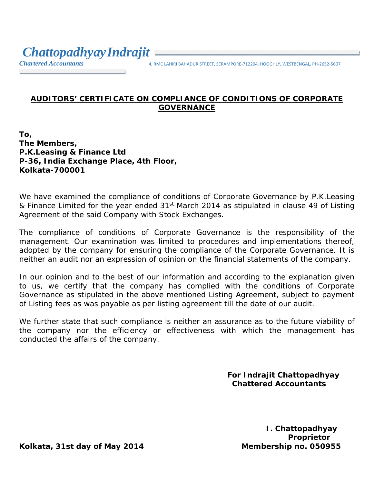*Chartered Accountants* 4, RMC LAHIRI BAHADUR STREET, SERAMPORE‐712204, HOOGHLY, WESTBENGAL, PH‐2652‐<sup>5607</sup>

### **AUDITORS' CERTIFICATE ON COMPLIANCE OF CONDITIONS OF CORPORATE GOVERNANCE**

**To, The Members, P.K.Leasing & Finance Ltd P-36, India Exchange Place, 4th Floor, Kolkata-700001**

We have examined the compliance of conditions of Corporate Governance by P.K.Leasing & Finance Limited for the year ended 31<sup>st</sup> March 2014 as stipulated in clause 49 of Listing Agreement of the said Company with Stock Exchanges.

The compliance of conditions of Corporate Governance is the responsibility of the management. Our examination was limited to procedures and implementations thereof, adopted by the company for ensuring the compliance of the Corporate Governance. It is neither an audit nor an expression of opinion on the financial statements of the company.

In our opinion and to the best of our information and according to the explanation given to us, we certify that the company has complied with the conditions of Corporate Governance as stipulated in the above mentioned Listing Agreement, subject to payment of Listing fees as was payable as per listing agreement till the date of our audit.

We further state that such compliance is neither an assurance as to the future viability of the company nor the efficiency or effectiveness with which the management has conducted the affairs of the company.

> **For Indrajit Chattopadhyay Chattered Accountants**

> > **I. Chattopadhyay Proprietor**

**Kolkata, 31st day of May 2014 Membership no. 050955**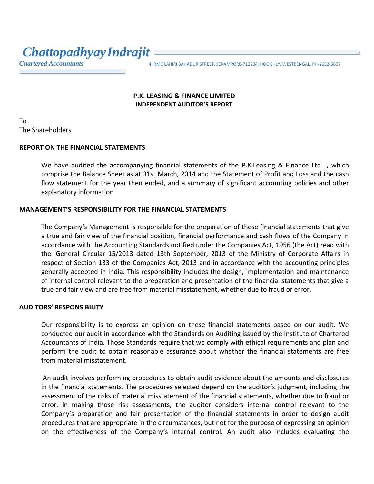*ChattopadhyayIndrajit*

*Chartered Accountants* 4, RMC LAHIRI BAHADUR STREET, SERAMPORE-712204, HOOGHLY, WESTBENGAL, PH-2652-5607

#### **P.K. LEASING & FINANCE LIMITED INDEPENDENT AUDITOR'S REPORT**

To The Shareholders

#### **REPORT ON THE FINANCIAL STATEMENTS**

We have audited the accompanying financial statements of the P.K.Leasing & Finance Ltd, which comprise the Balance Sheet as at 31st March, 2014 and the Statement of Profit and Loss and the cash flow statement for the year then ended, and a summary of significant accounting policies and other explanatory information

#### **MANAGEMENT'S RESPONSIBILITY FOR THE FINANCIAL STATEMENTS**

The Company's Management is responsible for the preparation of these financial statements that give a true and fair view of the financial position, financial performance and cash flows of the Company in accordance with the Accounting Standards notified under the Companies Act, 1956 (the Act) read with the [General Circular 15/2013 dated 13th September, 2013 o](http://taxguru.in/company-law/company-law-clarification-commencement-notification-dated-12092013.html)f the Ministry of Corporate Affairs in respect of Section 133 of the Companies Act, 2013 and in accordance with the accounting principles generally accepted in India. This responsibility includes the design, implementation and maintenance of internal control relevant to the preparation and presentation of the financial statements that give a true and fair view and are free from material misstatement, whether due to fraud or error.

#### **AUDITORS' RESPONSIBILITY**

Our responsibility is to express an opinion on these financial statements based on our audit. We conducted our audit in accordance with the Standards on Auditing issued by the Institute of Chartered Accountants of India. Those Standards require that we comply with ethical requirements and plan and perform the audit to obtain reasonable assurance about whether the financial statements are free from material misstatement.

An audit involves performing procedures to obtain audit evidence about the amounts and disclosures in the financial statements. The procedures selected depend on the auditor's judgment, including the assessment of the risks of material misstatement of the financial statements, whether due to fraud or error. In making those risk assessments, the auditor considers internal control relevant to the Company's preparation and fair presentation of the financial statements in order to design audit procedures that are appropriate in the circumstances, but not for the purpose of expressing an opinion on the effectiveness of the Company's internal control. An audit also includes evaluating the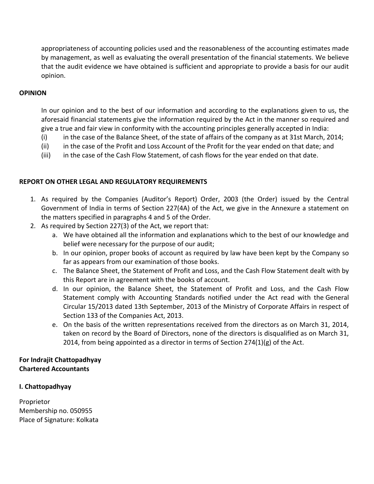appropriateness of accounting policies used and the reasonableness of the accounting estimates made by management, as well as evaluating the overall presentation of the financial statements. We believe that the audit evidence we have obtained is sufficient and appropriate to provide a basis for our audit opinion.

#### **OPINION**

In our opinion and to the best of our information and according to the explanations given to us, the aforesaid financial statements give the information required by the Act in the manner so required and give a true and fair view in conformity with the accounting principles generally accepted in India:

- (i) in the case of the Balance Sheet, of the state of affairs of the company as at 31st March, 2014;
- (ii) in the case of the Profit and Loss Account of the Profit for the year ended on that date; and
- (iii) in the case of the Cash Flow Statement, of cash flows for the year ended on that date.

#### **REPORT ON OTHER LEGAL AND REGULATORY REQUIREMENTS**

- 1. As required by the Companies (Auditor's Report) Order, 2003 (the Order) issued by the Central Government of India in terms of Section 227(4A) of the Act, we give in the Annexure a statement on the matters specified in paragraphs 4 and 5 of the Order.
- 2. As required by Section 227(3) of the Act, we report that:
	- a. We have obtained all the information and explanations which to the best of our knowledge and belief were necessary for the purpose of our audit;
	- b. In our opinion, proper books of account as required by law have been kept by the Company so far as appears from our examination of those books.
	- c. The Balance Sheet, the Statement of Profit and Loss, and the Cash Flow Statement dealt with by this Report are in agreement with the books of account.
	- d. In our opinion, the Balance Sheet, the Statement of Profit and Loss, and the Cash Flow Statement comply with Accounting Standards notified under the Act read with the General Circular 15/2013 dated 13th September, 2013 of the Ministry of Corporate Affairs in respect of Section 133 of the Companies Act, 2013.
	- e. On the basis of the written representations received from the directors as on March 31, 2014, taken on record by the Board of Directors, none of the directors is disqualified as on March 31, 2014, from being appointed as a director in terms of Section  $274(1)(g)$  of the Act.

#### **For Indrajit Chattopadhyay Chartered Accountants**

#### **I. Chattopadhyay**

Proprietor Membership no. 050955 Place of Signature: Kolkata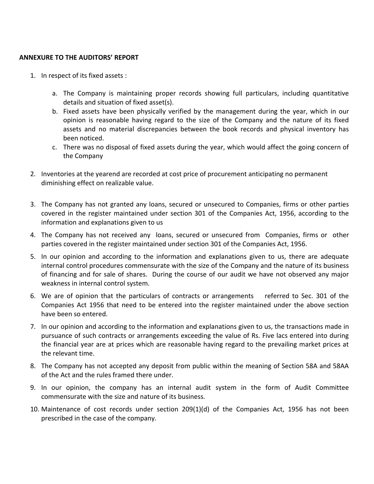#### **ANNEXURE TO THE AUDITORS' REPORT**

- 1. In respect of its fixed assets :
	- a. The Company is maintaining proper records showing full particulars, including quantitative details and situation of fixed asset(s).
	- b. Fixed assets have been physically verified by the management during the year, which in our opinion is reasonable having regard to the size of the Company and the nature of its fixed assets and no material discrepancies between the book records and physical inventory has been noticed.
	- c. There was no disposal of fixed assets during the year, which would affect the going concern of the Company
- 2. Inventories at the yearend are recorded at cost price of procurement anticipating no permanent diminishing effect on realizable value.
- 3. The Company has not granted any loans, secured or unsecured to Companies, firms or other parties covered in the register maintained under section 301 of the Companies Act, 1956, according to the information and explanations given to us
- 4. The Company has not received any loans, secured or unsecured from Companies, firms or other parties covered in the register maintained under section 301 of the Companies Act, 1956.
- 5. In our opinion and according to the information and explanations given to us, there are adequate internal control procedures commensurate with the size of the Company and the nature of its business of financing and for sale of shares. During the course of our audit we have not observed any major weakness in internal control system.
- 6. We are of opinion that the particulars of contracts or arrangements referred to Sec. 301 of the Companies Act 1956 that need to be entered into the register maintained under the above section have been so entered.
- 7. In our opinion and according to the information and explanations given to us, the transactions made in pursuance of such contracts or arrangements exceeding the value of Rs. Five lacs entered into during the financial year are at prices which are reasonable having regard to the prevailing market prices at the relevant time.
- 8. The Company has not accepted any deposit from public within the meaning of Section 58A and 58AA of the Act and the rules framed there under.
- 9. In our opinion, the company has an internal audit system in the form of Audit Committee commensurate with the size and nature of its business.
- 10. Maintenance of cost records under section 209(1)(d) of the Companies Act, 1956 has not been prescribed in the case of the company.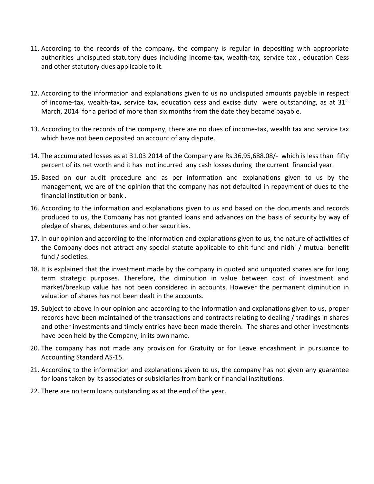- 11. According to the records of the company, the company is regular in depositing with appropriate authorities undisputed statutory dues including income-tax, wealth-tax, service tax , education Cess and other statutory dues applicable to it.
- 12. According to the information and explanations given to us no undisputed amounts payable in respect of income-tax, wealth-tax, service tax, education cess and excise duty were outstanding, as at  $31<sup>st</sup>$ March, 2014 for a period of more than six months from the date they became payable.
- 13. According to the records of the company, there are no dues of income-tax, wealth tax and service tax which have not been deposited on account of any dispute.
- 14. The accumulated losses as at 31.03.2014 of the Company are Rs.36,95,688.08/- which is less than fifty percent of its net worth and it has not incurred any cash losses during the current financial year.
- 15. Based on our audit procedure and as per information and explanations given to us by the management, we are of the opinion that the company has not defaulted in repayment of dues to the financial institution or bank .
- 16. According to the information and explanations given to us and based on the documents and records produced to us, the Company has not granted loans and advances on the basis of security by way of pledge of shares, debentures and other securities.
- 17. In our opinion and according to the information and explanations given to us, the nature of activities of the Company does not attract any special statute applicable to chit fund and nidhi / mutual benefit fund / societies.
- 18. It is explained that the investment made by the company in quoted and unquoted shares are for long term strategic purposes. Therefore, the diminution in value between cost of investment and market/breakup value has not been considered in accounts. However the permanent diminution in valuation of shares has not been dealt in the accounts.
- 19. Subject to above In our opinion and according to the information and explanations given to us, proper records have been maintained of the transactions and contracts relating to dealing / tradings in shares and other investments and timely entries have been made therein. The shares and other investments have been held by the Company, in its own name.
- 20. The company has not made any provision for Gratuity or for Leave encashment in pursuance to Accounting Standard AS-15.
- 21. According to the information and explanations given to us, the company has not given any guarantee for loans taken by its associates or subsidiaries from bank or financial institutions.
- 22. There are no term loans outstanding as at the end of the year.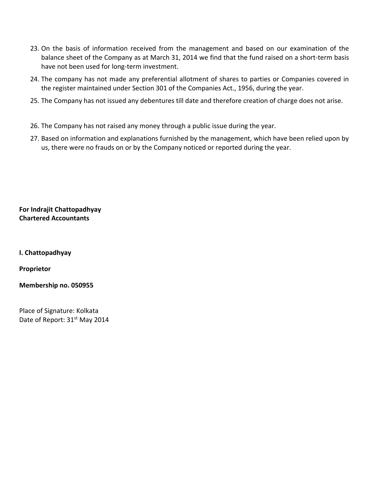- 23. On the basis of information received from the management and based on our examination of the balance sheet of the Company as at March 31, 2014 we find that the fund raised on a short-term basis have not been used for long-term investment.
- 24. The company has not made any preferential allotment of shares to parties or Companies covered in the register maintained under Section 301 of the Companies Act., 1956, during the year.
- 25. The Company has not issued any debentures till date and therefore creation of charge does not arise.
- 26. The Company has not raised any money through a public issue during the year.
- 27. Based on information and explanations furnished by the management, which have been relied upon by us, there were no frauds on or by the Company noticed or reported during the year.

**For Indrajit Chattopadhyay Chartered Accountants**

**I. Chattopadhyay**

**Proprietor**

**Membership no. 050955**

Place of Signature: Kolkata Date of Report: 31<sup>st</sup> May 2014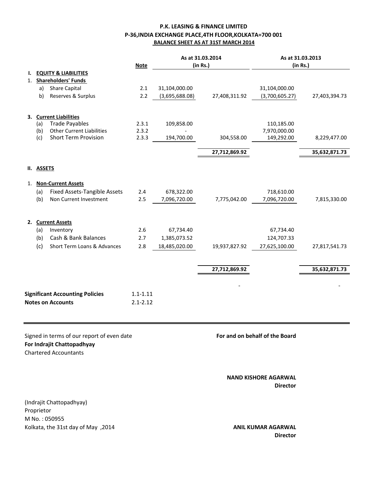### **P.K. LEASING & FINANCE LIMITED P-36,INDIA EXCHANGE PLACE,4TH FLOOR,KOLKATA=700 001 BALANCE SHEET AS AT 31ST MARCH 2014**

|    |               | <b>Note</b>                                                                                              | As at 31.03.2014<br>(in Rs.) |                | As at 31.03.2013<br>(in Rs.) |                                                |               |
|----|---------------|----------------------------------------------------------------------------------------------------------|------------------------------|----------------|------------------------------|------------------------------------------------|---------------|
| Ι. |               | <b>EQUITY &amp; LIABILITIES</b>                                                                          |                              |                |                              |                                                |               |
| 1. |               | <b>Shareholders' Funds</b>                                                                               |                              |                |                              |                                                |               |
|    | a)            | <b>Share Capital</b>                                                                                     | 2.1                          | 31,104,000.00  |                              | 31,104,000.00                                  |               |
|    | b)            | Reserves & Surplus                                                                                       | 2.2                          | (3,695,688.08) | 27,408,311.92                | (3,700,605.27)                                 | 27,403,394.73 |
| 3. |               | <b>Current Liabilities</b>                                                                               |                              |                |                              |                                                |               |
|    | (a)           | <b>Trade Payables</b>                                                                                    | 2.3.1                        | 109,858.00     |                              | 110,185.00                                     |               |
|    | (b)           | <b>Other Current Liabilities</b>                                                                         | 2.3.2                        |                |                              | 7,970,000.00                                   |               |
|    | (c)           | <b>Short Term Provision</b>                                                                              | 2.3.3                        | 194,700.00     | 304,558.00                   | 149,292.00                                     | 8,229,477.00  |
|    |               |                                                                                                          |                              |                | 27,712,869.92                |                                                | 35,632,871.73 |
| Н. | <b>ASSETS</b> |                                                                                                          |                              |                |                              |                                                |               |
| 1. |               | <b>Non-Current Assets</b>                                                                                |                              |                |                              |                                                |               |
|    | (a)           | <b>Fixed Assets-Tangible Assets</b>                                                                      | 2.4                          | 678,322.00     |                              | 718,610.00                                     |               |
|    | (b)           | Non Current Investment                                                                                   | 2.5                          | 7,096,720.00   | 7,775,042.00                 | 7,096,720.00                                   | 7,815,330.00  |
| 2. |               | <b>Current Assets</b>                                                                                    |                              |                |                              |                                                |               |
|    | (a)           | Inventory                                                                                                | 2.6                          | 67,734.40      |                              | 67,734.40                                      |               |
|    | (b)           | Cash & Bank Balances                                                                                     | 2.7                          | 1,385,073.52   |                              | 124,707.33                                     |               |
|    | (c)           | <b>Short Term Loans &amp; Advances</b>                                                                   | 2.8                          | 18,485,020.00  | 19,937,827.92                | 27,625,100.00                                  | 27,817,541.73 |
|    |               |                                                                                                          |                              |                |                              |                                                |               |
|    |               |                                                                                                          |                              |                | 27,712,869.92                |                                                | 35,632,871.73 |
|    |               |                                                                                                          |                              |                |                              |                                                |               |
|    |               | <b>Significant Accounting Policies</b>                                                                   | $1.1 - 1.11$                 |                |                              |                                                |               |
|    |               | <b>Notes on Accounts</b>                                                                                 | $2.1 - 2.12$                 |                |                              |                                                |               |
|    |               |                                                                                                          |                              |                |                              |                                                |               |
|    |               | Signed in terms of our report of even date<br>For Indrajit Chattopadhyay<br><b>Chartered Accountants</b> |                              |                |                              | For and on behalf of the Board                 |               |
|    |               |                                                                                                          |                              |                |                              | <b>NAND KISHORE AGARWAL</b><br><b>Director</b> |               |

(Indrajit Chattopadhyay) Proprietor M No. : 050955 Kolkata, the 31st day of May ,2014 **ANIL KUMAR AGARWAL** 

# **Director**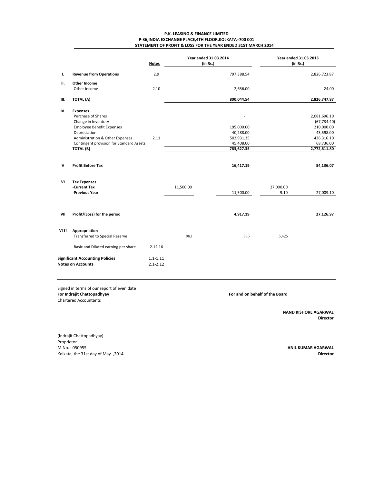|                |                                                                                        | <b>Notes</b> | <b>Year ended 31.03.2014</b><br>(in Rs.) |                         | <b>Year ended 31.03.2013</b><br>(in Rs.) |                         |
|----------------|----------------------------------------------------------------------------------------|--------------|------------------------------------------|-------------------------|------------------------------------------|-------------------------|
| $\mathbf{l}$ . | <b>Revenue from Operations</b>                                                         | 2.9          |                                          | 797,388.54              |                                          | 2,826,723.87            |
| П.             | <b>Other Income</b>                                                                    |              |                                          |                         |                                          |                         |
|                | Other Income                                                                           | 2.10         |                                          | 2,656.00                |                                          | 24.00                   |
| III.           | <b>TOTAL (A)</b>                                                                       |              |                                          | 800,044.54              |                                          | 2,826,747.87            |
| IV.            | <b>Expenses</b>                                                                        |              |                                          |                         |                                          |                         |
|                | <b>Purchase of Shares</b>                                                              |              |                                          |                         |                                          | 2,081,696.10            |
|                | Change in Inventory                                                                    |              |                                          |                         |                                          | (67, 734.40)            |
|                | <b>Employee Benefit Expenses</b>                                                       |              |                                          | 195,000.00              |                                          | 210,000.00              |
|                | Depreciation                                                                           | 2.11         |                                          | 40,288.00<br>502,931.35 |                                          | 43,598.00               |
|                | <b>Administration &amp; Other Expenses</b><br>Contingent provision for Standard Assets |              |                                          | 45,408.00               |                                          | 436,316.10<br>68,736.00 |
|                | <b>TOTAL (B)</b>                                                                       |              |                                          | 783,627.35              |                                          | 2,772,611.80            |
|                |                                                                                        |              |                                          |                         |                                          |                         |
| $\mathsf{V}$   | <b>Profit Before Tax</b>                                                               |              |                                          | 16,417.19               |                                          | 54,136.07               |
| VI             | <b>Tax Expenses</b>                                                                    |              |                                          |                         |                                          |                         |
|                | -Current Tax                                                                           |              | 11,500.00                                |                         | 27,000.00                                |                         |
|                | -Previous Year                                                                         |              |                                          | 11,500.00               | 9.10                                     | 27,009.10               |
|                |                                                                                        |              |                                          |                         |                                          |                         |
| VII            | Profit/(Loss) for the period                                                           |              |                                          | 4,917.19                |                                          | 27,126.97               |
| <b>VIII</b>    | Appropriation                                                                          |              |                                          |                         |                                          |                         |
|                | <b>Transferred to Special Reserve</b>                                                  |              | 983                                      | 983                     | 5,425                                    |                         |
|                | Basic and Diluted earning per share                                                    | 2.12.16      |                                          |                         |                                          |                         |
|                | <b>Significant Accounting Policies</b>                                                 | $1.1 - 1.11$ |                                          |                         |                                          |                         |
|                | <b>Notes on Accounts</b>                                                               | $2.1 - 2.12$ |                                          |                         |                                          |                         |
|                |                                                                                        |              |                                          |                         |                                          |                         |

Chartered Accountants

**NAND KISHORE AGARWAL Director**

(Indrajit Chattopadhyay) Proprietor M No. : 050955 **ANIL KUMAR AGARWAL** Kolkata, the 31st day of May ,2014 **Director**

### **STATEMENT OF PROFIT & LOSS FOR THE YEAR ENDED 31ST MARCH 2014 P.K. LEASING & FINANCE LIMITED P-36,INDIA EXCHANGE PLACE,4TH FLOOR,KOLKATA=700 001**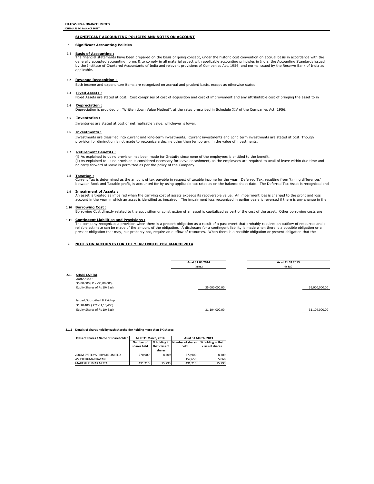### **SCHEDULES TO BALANCE SHEET**

# **SIGNIFICANT ACCOUNTING POLICIES AND NOTES ON ACCOUNT**

# **1.1 Basis of Accounting :**

# **1.2 Revenue Recognition :**

# **1.3 Fixed Assets :**

# **1.4 Depreciation :**

# **1.5 Inventories :**

# **1.6 Investments :**

# **1.7 Retirement Benefits :**

# **1.8 Taxation :**

### **1.9 Impairment of Assets :**

### **1.10 Borrowing Cost :**

## **2. NOTES ON ACCOUNTS FOR THE YEAR ENDED 31ST MARCH 2014**

### **2.1.1 Details of shares held by each shareholder holding more than 5% shares:**

Current Tax is determined as the amount of tax payable in respect of taxable income for the year. Deferred Tax, resulting from 'timing differences' between Book and Taxable profit, is accounted for by using applicable tax rates as on the balance sheet date. The Deferred Tax Asset is recognized and

#### **1 Significant Accounting Policies**

| Class of shares / Name of shareholder | As at 31 March, 2014            |                               | As at 31 March, 2013            |                                      |  |  |
|---------------------------------------|---------------------------------|-------------------------------|---------------------------------|--------------------------------------|--|--|
|                                       | <b>Number of</b><br>shares held | % holding in<br>that class of | <b>Number of shares</b><br>held | % holding in that<br>class of shares |  |  |
|                                       |                                 | shares                        |                                 |                                      |  |  |
| <b>ZOOM SYSTEMS PRIVATE LIMITED</b>   | 270,900                         | 8.709                         | 270,900                         | 8.709                                |  |  |
| ASHOK KUMAR KAYAN                     |                                 |                               | 157,650                         | 5.068                                |  |  |
| MAHESH KUMAR MITTAL                   | 491,210                         | 15.793                        | 491,210                         | 15.793                               |  |  |

An asset is treated as impaired when the carrying cost of assets exceeds its recoverable value. An impairment loss is charged to the profit and loss account in the year in which an asset is identified as impaired. The impairment loss recognized in earlier years is reversed if there is any change in the

The company recognizes a provision when there is a present obligation as a result of a past event that probably requires an outflow of resources and a reliable estimate can be made of the amount of the obligation. A disclosure for a contingent liability is made when there is a possible obligation or a present obligation that may, but probably not, require an outflow of resources. When there is a possible obligation or present obligation that the

Inventories are stated at cost or net realizable value, whichever is lower.

### **1.11 Contingent Liabilities and Provisions :**

|                                                                                                            | As at 31.03.2014 | As at 31.03.2013 |  |  |
|------------------------------------------------------------------------------------------------------------|------------------|------------------|--|--|
|                                                                                                            | (in Rs.)         | (in Rs.)         |  |  |
| 2.1.<br><b>SHARE CAPITAL</b><br>Authorised:<br>35,00,000 ( P.Y:-35,00,000)<br>Equity Shares of Rs 10/ Each | 35,000,000.00    | 35,000,000.00    |  |  |
| Issued, Subscribed & Paid up<br>31,10,400 (P.Y:-31,10,400)<br>Equity Shares of Rs 10/ Each                 | 31,104,000.00    | 31,104,000.00    |  |  |

Investments are classified into current and long-term investments. Current investments and Long term investments are stated at cost. Though provision for diminution is not made to recognize a decline other than temporary, in the value of investments.

(i) As explained to us no provision has been made for Gratuity since none of the employees is entitled to the benefit. (ii) As explained to us no provision is considered necessary for leave encashment, as the employees are required to avail of leave within due time and no carry forward of leave is permitted as per the policy of the Company.

Borrowing Cost directly related to the acquisition or construction of an asset is capitalized as part of the cost of the asset. Other borrowing costs are

The financial statements have been prepared on the basis of going concept, under the historic cost convention on accrual basis in accordance with the generally accepted accounting norms & to comply in all material aspect with applicable accounting principles in India, the Accounting Standards issued by the Institute of Chartered Accountants of India and relevant provisions of Companies Act, 1956, and norms issued by the Reserve Bank of India as applicable.

Both income and expenditure items are recognized on accrual and prudent basis, except as otherwise stated.

Fixed Assets are stated at cost. Cost comprises of cost of acquisition and cost of improvement and any attributable cost of bringing the asset to in

Depreciation is provided on "Written down Value Method", at the rates prescribed in Schedule XIV of the Companies Act, 1956.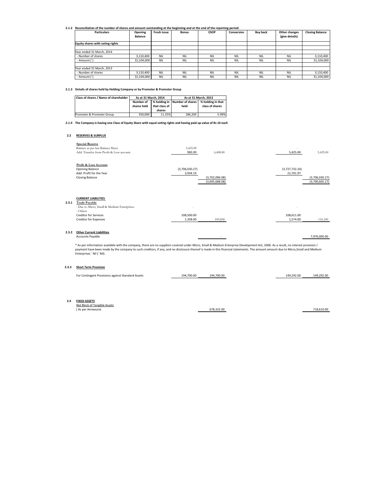# **2.1.2 Reconciliation of the number of shares and amount outstanding at the beginning and at the end of the reporting period:**

| <b>Particulars</b>                      | <b>Opening</b><br><b>Balance</b> | <b>Fresh issue</b> | <b>Bonus</b> | <b>ESOP</b> | <b>Conversion</b> | <b>Buy back</b> | <b>Other changes</b><br>(give details) | <b>Closing Balance</b> |
|-----------------------------------------|----------------------------------|--------------------|--------------|-------------|-------------------|-----------------|----------------------------------------|------------------------|
| <b>Equity shares with voting rights</b> |                                  |                    |              |             |                   |                 |                                        |                        |
| Year ended 31 March, 2014               |                                  |                    |              |             |                   |                 |                                        |                        |
| - Number of shares                      | 3,110,400                        | <b>NIL</b>         | <b>NIL</b>   | <b>NIL</b>  | <b>NIL</b>        | <b>NIL</b>      | <b>NIL</b>                             | 3,110,400              |
| - Amount (`)                            | 31,104,000                       | <b>NIL</b>         | <b>NIL</b>   | <b>NIL</b>  | <b>NIL</b>        | <b>NIL</b>      | <b>NIL</b>                             | 31,104,000             |
| Year ended 31 March, 2013               |                                  |                    |              |             |                   |                 |                                        |                        |
| - Number of shares                      | 3,110,400                        | <b>NIL</b>         | <b>NIL</b>   | <b>NIL</b>  | <b>NIL</b>        | <b>NIL</b>      | <b>NIL</b>                             | 3,110,400              |
| - Amount (`)                            | 31,104,000                       | <b>NIL</b>         | <b>NIL</b>   | <b>NIL</b>  | <b>NIL</b>        | <b>NIL</b>      | <b>NIL</b>                             | 31,104,000             |

# **2.1.3 Details of shares held by Holding Company or by Promoter & Promoter Group**

# **2.1.4 The Company is having one Class of Equity Share with equal voting rights and having paid up value of Rs 10 each**

## **2.2 RESERVES & SURPLUS**

| <b>Special Reserve</b>                   |                |                |                |                |
|------------------------------------------|----------------|----------------|----------------|----------------|
| Balance as per last Balance Sheet        | 5,425.00       |                |                |                |
| Add: Transfer from Profit & Loss account | 983.00         | 6,408.00       | 5,425.00       | 5,425.00       |
| <b>Profit &amp; Loss Account</b>         |                |                |                |                |
| <b>Opening Balance</b>                   | (3,706,030.27) |                | (3,727,732.24) |                |
| Add: Profit for the Year                 | 3,934.19       |                | 21,701.97      |                |
| <b>Closing Balance</b>                   |                | (3,702,096.08) |                | (3,706,030.27) |
|                                          |                | (3,695,688.08) |                | (3,700,605.27) |

|       | <b>CURRENT LIABILITIES</b>                 |                          |         |                          |         |
|-------|--------------------------------------------|--------------------------|---------|--------------------------|---------|
| 2.3.1 | <b>Trade Payable</b>                       |                          |         |                          |         |
|       | - Due to Micro, Small & Medium Enterprises | $\overline{\phantom{0}}$ |         | $\overline{\phantom{0}}$ |         |
|       | - Others                                   |                          |         |                          |         |
|       | <b>Creditor for Services</b>               | 108,500.00               |         | 108,611.00               |         |
|       | <b>Creditor for Expenses</b>               | 1,358.00                 | 109,858 | 1,574.00                 | 110,185 |
|       |                                            |                          |         |                          |         |

### **2.3.2 Other Current Liabilities**

| <b>\ccounts</b><br>avable <sub>'</sub><br>HL. | 7,970,000.00 |
|-----------------------------------------------|--------------|
|                                               |              |

## **2.3.3 Short Term Provision**

| Class of shares / Name of shareholder | As at 31 March, 2014            |                                                     | As at 31 March, 2013     |                                      |  |
|---------------------------------------|---------------------------------|-----------------------------------------------------|--------------------------|--------------------------------------|--|
|                                       | <b>Number of</b><br>shares held | % holding in $\parallel$<br>that class of<br>shares | Number of shares<br>held | % holding in that<br>class of shares |  |
| Promoter & Promoter Group             | 350,000                         | 11.25%                                              | 186,200                  | 5.99%                                |  |

| __<br>Contingent Provisions against Standard Assets<br>For ' | 1700.00<br>101 | $\degree$ 700.00<br>194 | 292.00<br>04، | 149<br>ን በ(<br>, , ,<br><i>,</i> |
|--------------------------------------------------------------|----------------|-------------------------|---------------|----------------------------------|
|                                                              |                |                         |               |                                  |

### **2.4 FIXED ASSETS**

| Net Block of Tangible Assets |            |            |
|------------------------------|------------|------------|
| (As per Annexure)            | 678,322.00 | 718,610.00 |

\* As per information available with the company, there are no suppliers covered under Micro, Small & Medium Enterprise Development Act, 2006. As a result, no interest provision / payment have been made by the company to such creditors, if any, and no disclosure thereof is made in this financial statements. The amount amount due to Micro,Small and Medium Enterprises ` Nil (` Nil).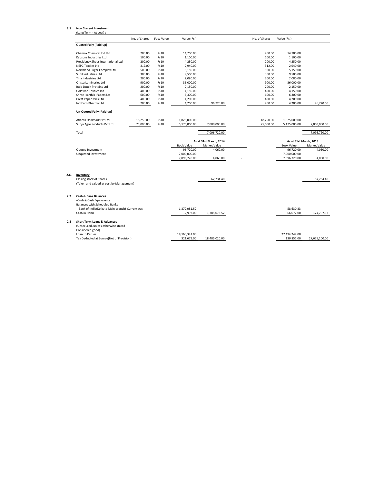## **2.5 Non Current Investment**

(Long Term - At cost) :

|                                    | No. of Shares | <b>Face Value</b> | Value (Rs.)       |                        | No. of Shares | Value (Rs.)            |                     |
|------------------------------------|---------------|-------------------|-------------------|------------------------|---------------|------------------------|---------------------|
| <b>Quoted Fully (Paid-up)</b>      |               |                   |                   |                        |               |                        |                     |
| <b>Chemox Chemical Ind Ltd</b>     | 200.00        | <b>Rs10</b>       | 14,700.00         |                        | 200.00        | 14,700.00              |                     |
| Kabsons Industries Ltd             | 100.00        | <b>Rs10</b>       | 1,100.00          |                        | 100.00        | 1,100.00               |                     |
| Presidency Shoes International Ltd | 200.00        | <b>Rs10</b>       | 4,250.00          |                        | 200.00        | 4,250.00               |                     |
| <b>NEPC Textiles Ltd</b>           | 312.00        | <b>Rs10</b>       | 2,940.00          |                        | 312.00        | 2,940.00               |                     |
| Northland Sugar Complex Ltd        | 500.00        | <b>Rs10</b>       | 5,150.00          |                        | 500.00        | 5,150.00               |                     |
| Sunil Industries Ltd               | 300.00        | <b>Rs10</b>       | 9,500.00          |                        | 300.00        | 9,500.00               |                     |
| Tina Industries Ltd                | 200.00        | <b>Rs10</b>       | 2,080.00          |                        | 200.00        | 2,080.00               |                     |
| <b>Orissa Lumineries Ltd</b>       | 900.00        | <b>Rs10</b>       | 36,000.00         |                        | 900.00        | 36,000.00              |                     |
| Indo Dutch Proteins Ltd            | 200.00        | <b>Rs10</b>       | 2,150.00          |                        | 200.00        | 2,150.00               |                     |
| <b>Goldwon Textiles Ltd</b>        | 400.00        | <b>Rs10</b>       | 4,150.00          |                        | 400.00        | 4,150.00               |                     |
| Shree Karthik Papers Ltd           | 600.00        | <b>Rs10</b>       | 6,300.00          |                        | 600.00        | 6,300.00               |                     |
| <b>Crest Paper Mills Ltd</b>       | 400.00        | <b>Rs10</b>       | 4,200.00          |                        | 400.00        | 4,200.00               |                     |
| Ind Euro Pharma Ltd                | 200.00        | <b>Rs10</b>       | 4,200.00          | 96,720.00              | 200.00        | 4,200.00               | 96,720.00           |
| Un-Quoted Fully (Paid-up)          |               |                   |                   |                        |               |                        |                     |
| Atlanta Dealmark Pvt Ltd           | 18,250.00     | <b>Rs10</b>       | 1,825,000.00      |                        | 18,250.00     | 1,825,000.00           |                     |
| Surya Agro Products Pvt Ltd        | 75,000.00     | <b>Rs10</b>       | 5,175,000.00      | 7,000,000.00           | 75,000.00     | 5,175,000.00           | 7,000,000.00        |
| Total                              |               |                   |                   | 7,096,720.00           |               |                        | 7,096,720.00        |
|                                    |               |                   |                   | As at 31st March, 2014 |               | As at 31st March, 2013 |                     |
|                                    |               |                   | <b>Book Value</b> | <b>Market Value</b>    |               | <b>Book Value</b>      | <b>Market Value</b> |
| <b>Quoted Investment</b>           |               |                   | 96,720.00         | 4,060.00               |               | 96,720.00              | 4,060.00            |
| Unquoted Investment                |               |                   | 7,000,000.00      |                        |               | 7,000,000.00           |                     |
|                                    |               |                   | 7,096,720.00      | 4,060.00               |               | 7,096,720.00           | 4,060.00            |
|                                    |               |                   |                   |                        |               |                        |                     |

**2.6. Inventory**

| Closing stock of Shares                  | 67.734.40 | 67,734.40 |
|------------------------------------------|-----------|-----------|
| (Taken and valued at cost by Management) |           |           |

| 2.7 | <b>Cash &amp; Bank Balances</b>                  |                 |               |               |               |
|-----|--------------------------------------------------|-----------------|---------------|---------------|---------------|
|     | -Cash & Cash Equivalents                         |                 |               |               |               |
|     | <b>Balances with Scheduled Banks</b>             |                 |               |               |               |
|     | - Bank of India(Kolkata Main branch)-Current A/c | 1,372,081.52    |               | 58,630.33     |               |
|     | Cash in Hand                                     | 12,992.00       | 1,385,073.52  | 66,077.00     | 124,707.33    |
| 2.8 | <b>Short Term Loans &amp; Advances</b>           |                 |               |               |               |
|     | (Unsecured, unless otherwise stated              |                 |               |               |               |
|     | Considered good)                                 |                 |               |               |               |
|     | Loan to Parties                                  | 18, 163, 341.00 |               | 27,494,249.00 |               |
|     | Tax Deducted at Source(Net of Provision)         | 321,679.00      | 18,485,020.00 | 130,851.00    | 27,625,100.00 |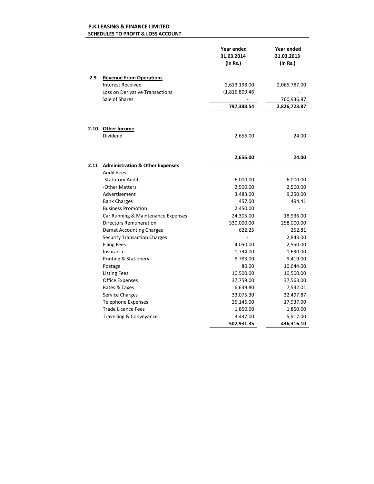### **SCHEDULES TO PROFIT & LOSS ACCOUNT P.K.LEASING & FINANCE LIMITED**

|      |                                            | <b>Year ended</b><br>31.03.2014<br>(in Rs.) | <b>Year ended</b><br>31.03.2013<br>(in Rs.) |
|------|--------------------------------------------|---------------------------------------------|---------------------------------------------|
| 2.9  | <b>Revenue From Operations</b>             |                                             |                                             |
|      | <b>Interest Received</b>                   | 2,613,198.00                                | 2,065,787.00                                |
|      | <b>Loss on Derivative Transactions</b>     | (1,815,809.46)                              |                                             |
|      | Sale of Shares                             |                                             | 760,936.87                                  |
|      |                                            | 797,388.54                                  | 2,826,723.87                                |
| 2.10 | <b>Other Income</b>                        |                                             |                                             |
|      | Dividend                                   | 2,656.00                                    | 24.00                                       |
|      |                                            |                                             |                                             |
|      |                                            | 2,656.00                                    | 24.00                                       |
| 2.11 | <b>Administration &amp; Other Expenses</b> |                                             |                                             |
|      | <b>Audit Fees</b>                          |                                             |                                             |
|      | -Statutory Audit                           | 6,000.00                                    | 6,000.00                                    |
|      | -Other Matters                             | 2,500.00                                    | 2,500.00                                    |
|      | Advertisement                              | 3,483.00                                    | 9,250.00                                    |
|      | <b>Bank Charges</b>                        | 457.00                                      | 494.41                                      |
|      | <b>Business Promotion</b>                  | 2,450.00                                    |                                             |
|      | Car Running & Maintenance Expenses         | 24,305.00                                   | 18,936.00                                   |
|      | <b>Directors Remuneration</b>              | 330,000.00                                  | 258,000.00                                  |
|      | <b>Demat Accounting Charges</b>            | 622.25                                      | 252.81                                      |
|      | <b>Security Transaction Charges</b>        |                                             | 2,843.00                                    |
|      | <b>Filing Fees</b>                         | 4,050.00                                    | 2,550.00                                    |
|      | Insurance                                  | 1,794.00                                    | 1,630.00                                    |
|      | <b>Printing &amp; Stationery</b>           | 8,783.00                                    | 9,419.00                                    |
|      | Postage                                    | 80.00                                       | 10,644.00                                   |
|      | <b>Listing Fees</b>                        | 10,500.00                                   | 10,500.00                                   |
|      | <b>Office Expenses</b>                     | 37,759.00                                   | 37,563.00                                   |
|      | Rates & Taxes                              | 6,639.80                                    | 7,532.01                                    |
|      | <b>Service Charges</b>                     | 33,075.30                                   | 32,497.87                                   |
|      | <b>Telephone Expenses</b>                  | 25,146.00                                   | 17,937.00                                   |
|      | <b>Trade Licence Fees</b>                  | 1,850.00                                    | 1,850.00                                    |
|      | Travelling & Conveyance                    | 3,437.00                                    | 5,917.00                                    |
|      |                                            | 502,931.35                                  | 436,316.10                                  |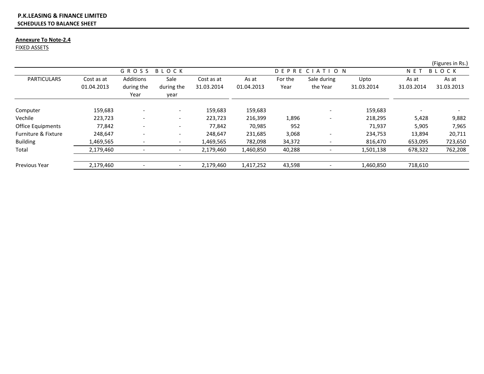### **SCHEDULES TO BALANCE SHEET P.K.LEASING & FINANCE LIMITED**

### **Annexure To Note-2.4**

FIXED ASSETS

|                                |                          |                                 |                            |                          |                     |                 |                         |                    |                     | (Figures in Rs.)    |
|--------------------------------|--------------------------|---------------------------------|----------------------------|--------------------------|---------------------|-----------------|-------------------------|--------------------|---------------------|---------------------|
|                                |                          | GROSS                           | BLOCK                      |                          |                     |                 | DEPRECIATION            |                    | NET                 | BLOCK               |
| <b>PARTICULARS</b>             | Cost as at<br>01.04.2013 | Additions<br>during the<br>Year | Sale<br>during the<br>year | Cost as at<br>31.03.2014 | As at<br>01.04.2013 | For the<br>Year | Sale during<br>the Year | Upto<br>31.03.2014 | As at<br>31.03.2014 | As at<br>31.03.2013 |
| Computer                       | 159,683                  |                                 | $\overline{\phantom{a}}$   | 159,683                  | 159,683             |                 |                         | 159,683            |                     |                     |
| Vechile                        | 223,723                  |                                 | $\overline{\phantom{0}}$   | 223,723                  | 216,399             | 1,896           |                         | 218,295            | 5,428               | 9,882               |
| <b>Office Equipments</b>       | 77,842                   |                                 |                            | 77,842                   | 70,985              | 952             |                         | 71,937             | 5,905               | 7,965               |
| <b>Furniture &amp; Fixture</b> | 248,647                  | $\overline{\phantom{a}}$        | $\overline{\phantom{a}}$   | 248,647                  | 231,685             | 3,068           |                         | 234,753            | 13,894              | 20,711              |
| <b>Building</b>                | L,469,565                |                                 |                            | 1,469,565                | 782,098             | 34,372          |                         | 816,470            | 653,095             | 723,650             |
| Total                          | 2,179,460                |                                 |                            | 2,179,460                | 1,460,850           | 40,288          |                         | 1,501,138          | 678,322             | 762,208             |
| <b>Previous Year</b>           | 2,179,460                |                                 |                            | 2,179,460                | 1,417,252           | 43,598          |                         | 1,460,850          | 718,610             |                     |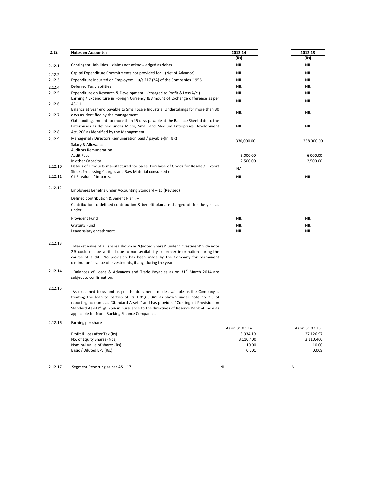| 2.12    | <b>Notes on Accounts:</b>                                                                                                                                                                                      | 2013-14    | 2012-13    |  |
|---------|----------------------------------------------------------------------------------------------------------------------------------------------------------------------------------------------------------------|------------|------------|--|
|         |                                                                                                                                                                                                                | (Rs)       | (Rs)       |  |
| 2.12.1  | Contingent Liabilities – claims not acknowledged as debts.                                                                                                                                                     | <b>NIL</b> | <b>NIL</b> |  |
| 2.12.2  | Capital Expenditure Commitments not provided for – (Net of Advance).                                                                                                                                           | <b>NIL</b> | <b>NIL</b> |  |
| 2.12.3  | Expenditure incurred on Employees $- u/s$ 217 (2A) of the Companies '1956                                                                                                                                      | <b>NIL</b> | <b>NIL</b> |  |
| 2.12.4  | <b>Deferred Tax Liabilities</b>                                                                                                                                                                                | <b>NIL</b> | <b>NIL</b> |  |
| 2.12.5  | Expenditure on Research & Development – (charged to Profit & Loss A/c.)                                                                                                                                        | <b>NIL</b> | <b>NIL</b> |  |
| 2.12.6  | Earning / Expenditure in Foreign Currency & Amount of Exchange difference as per<br>$AS-11$                                                                                                                    | <b>NIL</b> | <b>NIL</b> |  |
| 2.12.7  | Balance at year end payable to Small Scale Industrial Undertakings for more than 30<br>days as identified by the management.                                                                                   | <b>NIL</b> | <b>NIL</b> |  |
| 2.12.8  | Outstanding amount for more than 45 days payable at the Balance Sheet date to the<br>Enterprises as defined under Micro, Small and Medium Enterprises Development<br>Act, 206 as identified by the Management. | <b>NIL</b> | <b>NIL</b> |  |
| 2.12.9  | Managerial / Directors Remuneration paid / payable-(In INR)<br><b>Salary &amp; Allowances</b>                                                                                                                  | 330,000.00 | 258,000.00 |  |
|         | <b>Auditors Remuneration</b>                                                                                                                                                                                   |            |            |  |
|         | <b>Audit Fees</b>                                                                                                                                                                                              | 6,000.00   | 6,000.00   |  |
|         | In other Capacity                                                                                                                                                                                              | 2,500.00   | 2,500.00   |  |
| 2.12.10 | Details of Products manufactured for Sales, Purchase of Goods for Resale / Export                                                                                                                              | <b>NA</b>  |            |  |
| 2.12.11 | Stock, Processing Charges and Raw Material consumed etc.<br>C.I.F. Value of Imports.                                                                                                                           | <b>NIL</b> | <b>NIL</b> |  |
| 2.12.12 | Employees Benefits under Accounting Standard – 15 (Revised)                                                                                                                                                    |            |            |  |
|         | Defined contribution & Benefit Plan: -                                                                                                                                                                         |            |            |  |
|         | Contribution to defined contribution & benefit plan are charged off for the year as<br>under                                                                                                                   |            |            |  |
|         | <b>Provident Fund</b>                                                                                                                                                                                          | <b>NIL</b> | <b>NIL</b> |  |
|         | <b>Gratuity Fund</b>                                                                                                                                                                                           | <b>NIL</b> | <b>NIL</b> |  |
|         | Leave salary encashment                                                                                                                                                                                        | <b>NIL</b> | <b>NIL</b> |  |

- 2.12.13 Market value of all shares shown as 'Quoted Shares' under 'Investment' vide note 2.5 could not be verified due to non availability of proper information during the course of audit. No provision has been made by the Company for permanent diminution in value of investments, if any, during the year.
- 2.12.14 Balances of Loans & Advances and Trade Payables as on  $31<sup>st</sup>$  March 2014 are subject to confirmation.

### 2.12.15

As explained to us and as per the documents made available us the Company is treating the loan to parties of Rs 1,81,63,341 as shown under note no 2.8 of reporting accounts as "Standard Assets" and has provided "Contingent Provision on Standard Assets" @ .25% in pursuance to the directives of Reserve Bank of India as applicable for Non - Banking Finance Companies.

2.12.16 Earning per share

|                              | As on 31.03.14 | As on 31.03.13 |
|------------------------------|----------------|----------------|
| Profit & Loss after Tax (Rs) | 3,934.19       | 27,126.97      |
| No. of Equity Shares (Nos)   | 3,110,400      | 3,110,400      |
| Nominal Value of shares (Rs) | 10.00          | 10.00          |
| Basic / Diluted EPS (Rs.)    | 0.001          | 0.009          |

2.12.17 Segment Reporting as per AS – 17 NIL NIL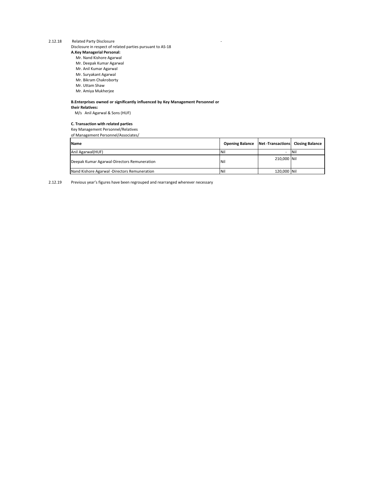2.12.18 Related Party Disclosure Disclosure in respect of related parties pursuant to AS-18 **A.Key Managerial Personal:**

- Mr. Nand Kishore Agarwal
- Mr. Deepak Kumar Agarwal
- Mr. Anil Kumar Agarwal
- Mr. Suryakant Agarwal
- Mr. Bikram Chakroborty
- Mr. Uttam Shaw
- Mr. Amiya Mukherjee

# **B.Enterprises owned or significantly influenced by Key Management Personnel or**

# **their Relatives:**

M/s Anil Agarwal & Sons (HUF)

# **C. Transaction with related parties**

Key Management Personnel/Relatives

of Management Personnel/Associates/

| <b>Name</b>                                  | <b>Opening Balance   Net - Transactions   Closing Balance</b> |               |             |
|----------------------------------------------|---------------------------------------------------------------|---------------|-------------|
| Anil Agarwal (HUF)                           | <b>INil</b>                                                   |               | <b>INil</b> |
| Deepak Kumar Agarwal-Directors Remuneration  | <b>INil</b>                                                   | 210,000 Nil   |             |
| Nand Kishore Agarwal -Directors Remuneration | <b>INil</b>                                                   | 120,000   Nil |             |

# 2.12.19 Previous year's figures have been regrouped and rearranged wherever necessary